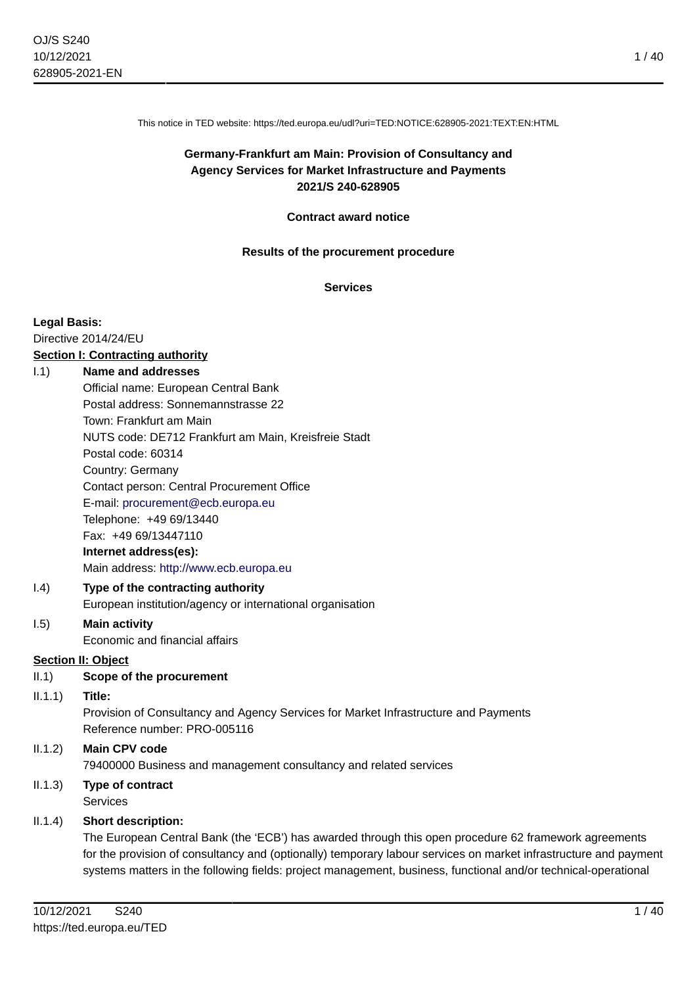This notice in TED website: https://ted.europa.eu/udl?uri=TED:NOTICE:628905-2021:TEXT:EN:HTML

# **Germany-Frankfurt am Main: Provision of Consultancy and Agency Services for Market Infrastructure and Payments 2021/S 240-628905**

#### **Contract award notice**

#### **Results of the procurement procedure**

**Services**

#### **Legal Basis:**

Directive 2014/24/EU

# **Section I: Contracting authority**

## I.1) **Name and addresses**

Official name: European Central Bank Postal address: Sonnemannstrasse 22 Town: Frankfurt am Main NUTS code: DE712 Frankfurt am Main, Kreisfreie Stadt Postal code: 60314 Country: Germany Contact person: Central Procurement Office E-mail: [procurement@ecb.europa.eu](mailto:procurement@ecb.europa.eu) Telephone: +49 69/13440 Fax: +49 69/13447110 **Internet address(es):** Main address:<http://www.ecb.europa.eu>

## I.4) **Type of the contracting authority** European institution/agency or international organisation

#### I.5) **Main activity** Economic and financial affairs

# **Section II: Object**

II.1) **Scope of the procurement**

# II.1.1) **Title:**

Provision of Consultancy and Agency Services for Market Infrastructure and Payments Reference number: PRO-005116

# II.1.2) **Main CPV code** 79400000 Business and management consultancy and related services

#### II.1.3) **Type of contract** Services

# II.1.4) **Short description:**

The European Central Bank (the 'ECB') has awarded through this open procedure 62 framework agreements for the provision of consultancy and (optionally) temporary labour services on market infrastructure and payment systems matters in the following fields: project management, business, functional and/or technical-operational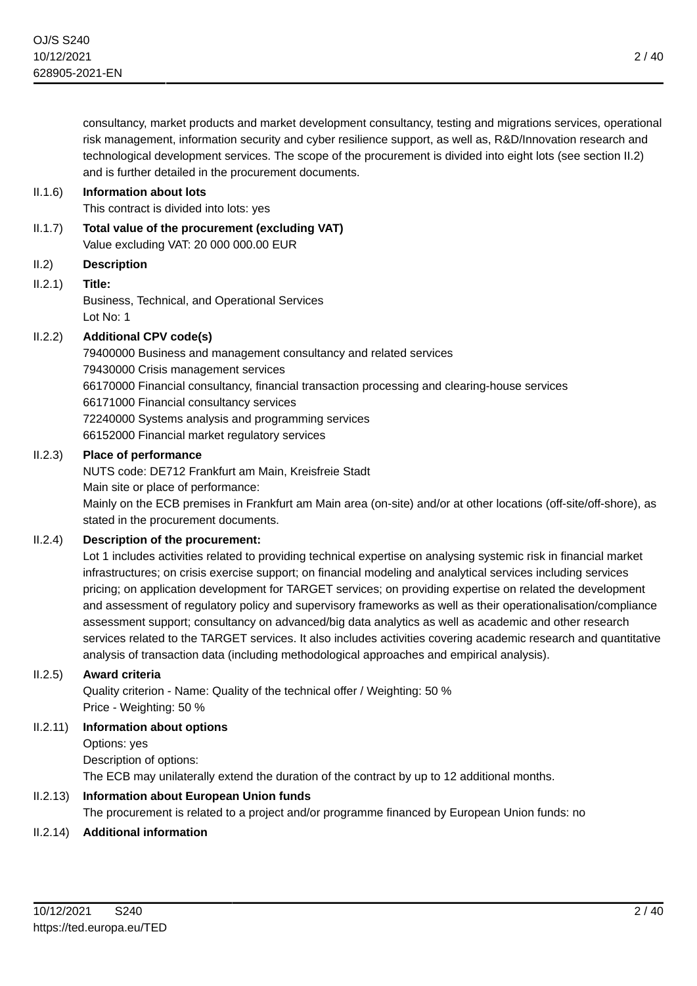consultancy, market products and market development consultancy, testing and migrations services, operational risk management, information security and cyber resilience support, as well as, R&D/Innovation research and technological development services. The scope of the procurement is divided into eight lots (see section II.2) and is further detailed in the procurement documents.

## II.1.6) **Information about lots**

This contract is divided into lots: yes

- II.1.7) **Total value of the procurement (excluding VAT)** Value excluding VAT: 20 000 000.00 EUR
- II.2) **Description**

## II.2.1) **Title:**

Business, Technical, and Operational Services Lot No: 1

## II.2.2) **Additional CPV code(s)**

79400000 Business and management consultancy and related services 79430000 Crisis management services 66170000 Financial consultancy, financial transaction processing and clearing-house services 66171000 Financial consultancy services 72240000 Systems analysis and programming services 66152000 Financial market regulatory services

#### II.2.3) **Place of performance**

NUTS code: DE712 Frankfurt am Main, Kreisfreie Stadt

Main site or place of performance:

Mainly on the ECB premises in Frankfurt am Main area (on-site) and/or at other locations (off-site/off-shore), as stated in the procurement documents.

## II.2.4) **Description of the procurement:**

Lot 1 includes activities related to providing technical expertise on analysing systemic risk in financial market infrastructures; on crisis exercise support; on financial modeling and analytical services including services pricing; on application development for TARGET services; on providing expertise on related the development and assessment of regulatory policy and supervisory frameworks as well as their operationalisation/compliance assessment support; consultancy on advanced/big data analytics as well as academic and other research services related to the TARGET services. It also includes activities covering academic research and quantitative analysis of transaction data (including methodological approaches and empirical analysis).

#### II.2.5) **Award criteria**

Quality criterion - Name: Quality of the technical offer / Weighting: 50 % Price - Weighting: 50 %

## II.2.11) **Information about options**

Options: yes Description of options: The ECB may unilaterally extend the duration of the contract by up to 12 additional months.

## II.2.13) **Information about European Union funds**

The procurement is related to a project and/or programme financed by European Union funds: no

## II.2.14) **Additional information**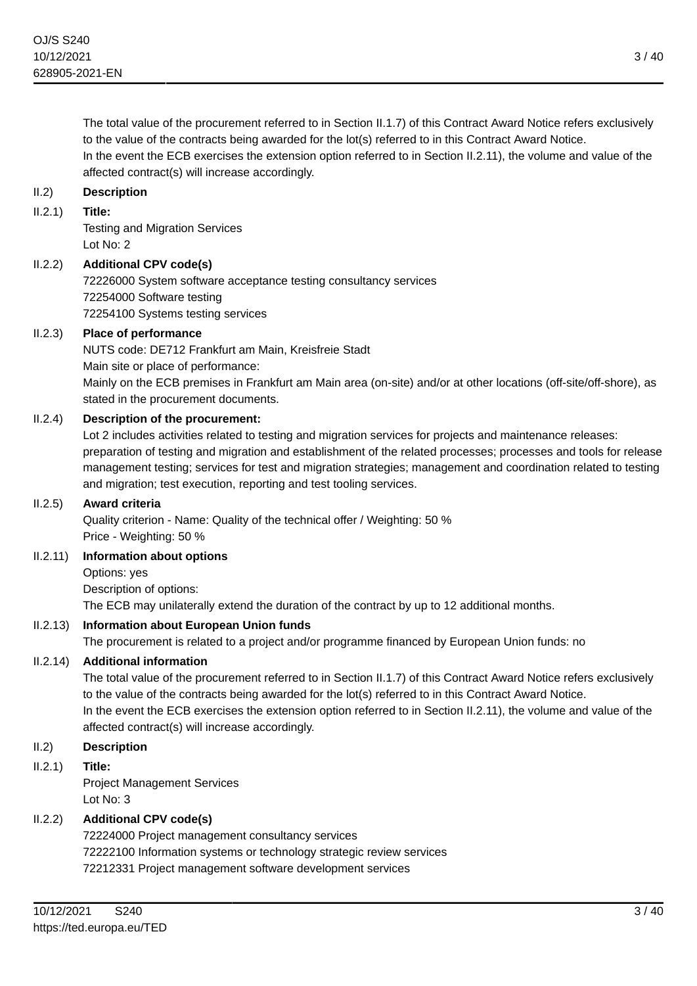The total value of the procurement referred to in Section II.1.7) of this Contract Award Notice refers exclusively to the value of the contracts being awarded for the lot(s) referred to in this Contract Award Notice. In the event the ECB exercises the extension option referred to in Section II.2.11), the volume and value of the affected contract(s) will increase accordingly.

## II.2) **Description**

#### II.2.1) **Title:**

Testing and Migration Services Lot No: 2

## II.2.2) **Additional CPV code(s)**

72226000 System software acceptance testing consultancy services 72254000 Software testing 72254100 Systems testing services

## II.2.3) **Place of performance**

NUTS code: DE712 Frankfurt am Main, Kreisfreie Stadt Main site or place of performance: Mainly on the ECB premises in Frankfurt am Main area (on-site) and/or at other locations (off-site/off-shore), as stated in the procurement documents.

## II.2.4) **Description of the procurement:**

Lot 2 includes activities related to testing and migration services for projects and maintenance releases: preparation of testing and migration and establishment of the related processes; processes and tools for release management testing; services for test and migration strategies; management and coordination related to testing and migration; test execution, reporting and test tooling services.

#### II.2.5) **Award criteria**

Quality criterion - Name: Quality of the technical offer / Weighting: 50 % Price - Weighting: 50 %

#### II.2.11) **Information about options**

Options: yes Description of options: The ECB may unilaterally extend the duration of the contract by up to 12 additional months.

## II.2.13) **Information about European Union funds**

The procurement is related to a project and/or programme financed by European Union funds: no

## II.2.14) **Additional information**

The total value of the procurement referred to in Section II.1.7) of this Contract Award Notice refers exclusively to the value of the contracts being awarded for the lot(s) referred to in this Contract Award Notice. In the event the ECB exercises the extension option referred to in Section II.2.11), the volume and value of the affected contract(s) will increase accordingly.

#### II.2) **Description**

## II.2.1) **Title:**

Project Management Services Lot No: 3

## II.2.2) **Additional CPV code(s)**

72224000 Project management consultancy services 72222100 Information systems or technology strategic review services 72212331 Project management software development services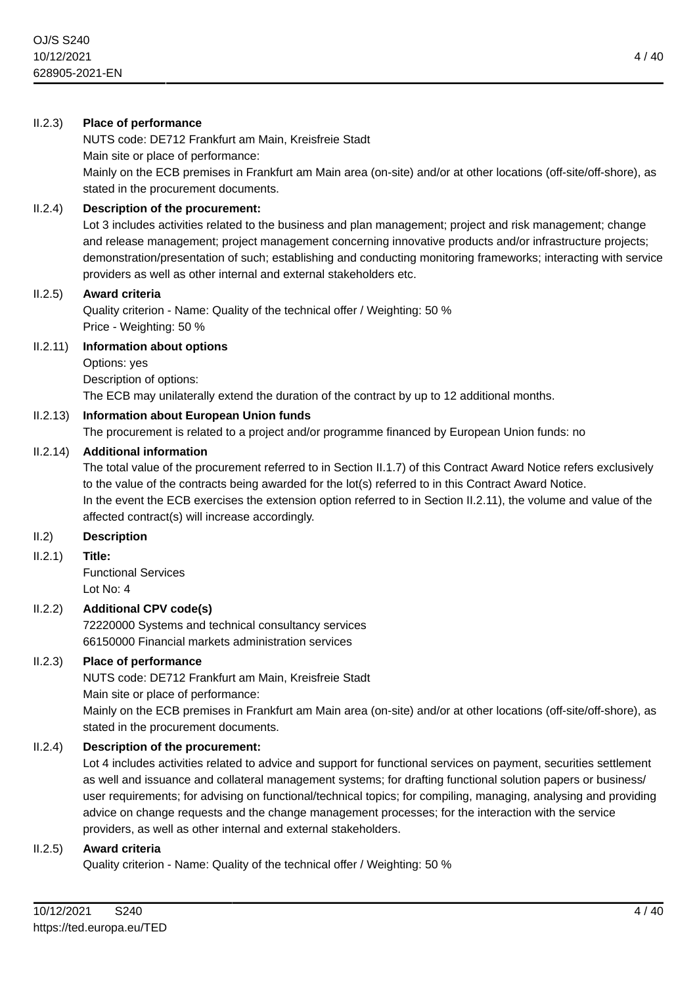#### II.2.3) **Place of performance**

NUTS code: DE712 Frankfurt am Main, Kreisfreie Stadt Main site or place of performance:

Mainly on the ECB premises in Frankfurt am Main area (on-site) and/or at other locations (off-site/off-shore), as stated in the procurement documents.

#### II.2.4) **Description of the procurement:**

Lot 3 includes activities related to the business and plan management; project and risk management; change and release management; project management concerning innovative products and/or infrastructure projects; demonstration/presentation of such; establishing and conducting monitoring frameworks; interacting with service providers as well as other internal and external stakeholders etc.

#### II.2.5) **Award criteria**

Quality criterion - Name: Quality of the technical offer / Weighting: 50 % Price - Weighting: 50 %

#### II.2.11) **Information about options**

Options: yes

Description of options:

The ECB may unilaterally extend the duration of the contract by up to 12 additional months.

#### II.2.13) **Information about European Union funds**

The procurement is related to a project and/or programme financed by European Union funds: no

#### II.2.14) **Additional information**

The total value of the procurement referred to in Section II.1.7) of this Contract Award Notice refers exclusively to the value of the contracts being awarded for the lot(s) referred to in this Contract Award Notice. In the event the ECB exercises the extension option referred to in Section II.2.11), the volume and value of the affected contract(s) will increase accordingly.

## II.2) **Description**

II.2.1) **Title:**

Functional Services Lot No: 4

#### II.2.2) **Additional CPV code(s)**

72220000 Systems and technical consultancy services 66150000 Financial markets administration services

#### II.2.3) **Place of performance**

NUTS code: DE712 Frankfurt am Main, Kreisfreie Stadt Main site or place of performance:

Mainly on the ECB premises in Frankfurt am Main area (on-site) and/or at other locations (off-site/off-shore), as stated in the procurement documents.

#### II.2.4) **Description of the procurement:**

Lot 4 includes activities related to advice and support for functional services on payment, securities settlement as well and issuance and collateral management systems; for drafting functional solution papers or business/ user requirements; for advising on functional/technical topics; for compiling, managing, analysing and providing advice on change requests and the change management processes; for the interaction with the service providers, as well as other internal and external stakeholders.

#### II.2.5) **Award criteria**

Quality criterion - Name: Quality of the technical offer / Weighting: 50 %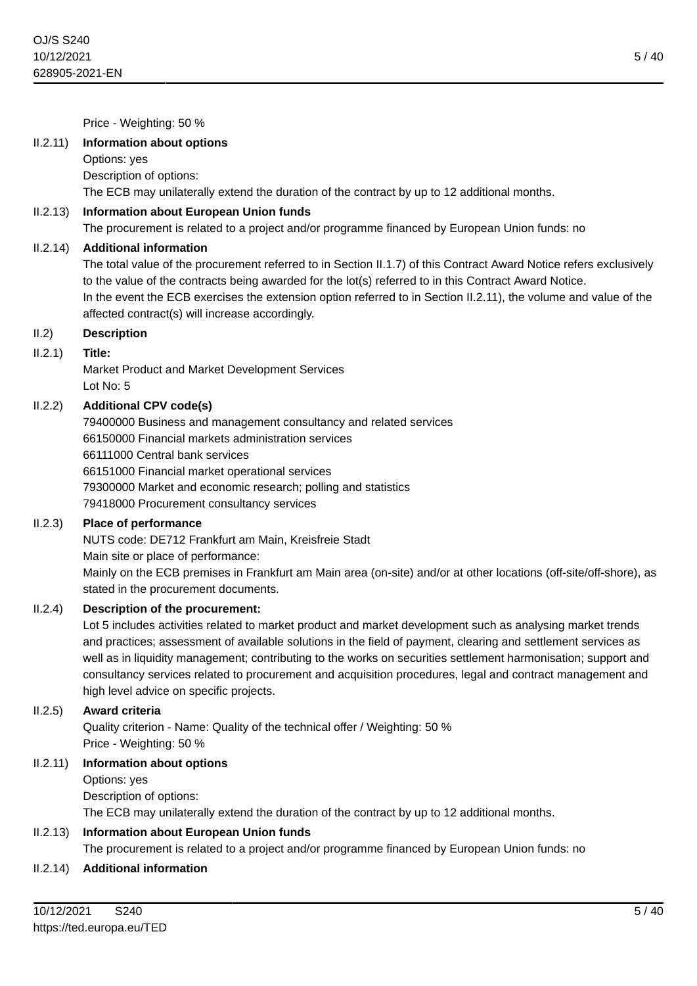Price - Weighting: 50 %

#### II.2.11) **Information about options**

Options: yes

Description of options:

The ECB may unilaterally extend the duration of the contract by up to 12 additional months.

#### II.2.13) **Information about European Union funds**

The procurement is related to a project and/or programme financed by European Union funds: no

#### II.2.14) **Additional information**

The total value of the procurement referred to in Section II.1.7) of this Contract Award Notice refers exclusively to the value of the contracts being awarded for the lot(s) referred to in this Contract Award Notice. In the event the ECB exercises the extension option referred to in Section II.2.11), the volume and value of the affected contract(s) will increase accordingly.

## II.2) **Description**

#### II.2.1) **Title:**

Market Product and Market Development Services Lot No: 5

## II.2.2) **Additional CPV code(s)**

79400000 Business and management consultancy and related services 66150000 Financial markets administration services 66111000 Central bank services 66151000 Financial market operational services 79300000 Market and economic research; polling and statistics 79418000 Procurement consultancy services

#### II.2.3) **Place of performance**

NUTS code: DE712 Frankfurt am Main, Kreisfreie Stadt

Main site or place of performance:

Mainly on the ECB premises in Frankfurt am Main area (on-site) and/or at other locations (off-site/off-shore), as stated in the procurement documents.

#### II.2.4) **Description of the procurement:**

Lot 5 includes activities related to market product and market development such as analysing market trends and practices; assessment of available solutions in the field of payment, clearing and settlement services as well as in liquidity management; contributing to the works on securities settlement harmonisation; support and consultancy services related to procurement and acquisition procedures, legal and contract management and high level advice on specific projects.

#### II.2.5) **Award criteria**

Quality criterion - Name: Quality of the technical offer / Weighting: 50 % Price - Weighting: 50 %

#### II.2.11) **Information about options**

Options: yes Description of options: The ECB may unilaterally extend the duration of the contract by up to 12 additional months.

## II.2.13) **Information about European Union funds**

The procurement is related to a project and/or programme financed by European Union funds: no

#### II.2.14) **Additional information**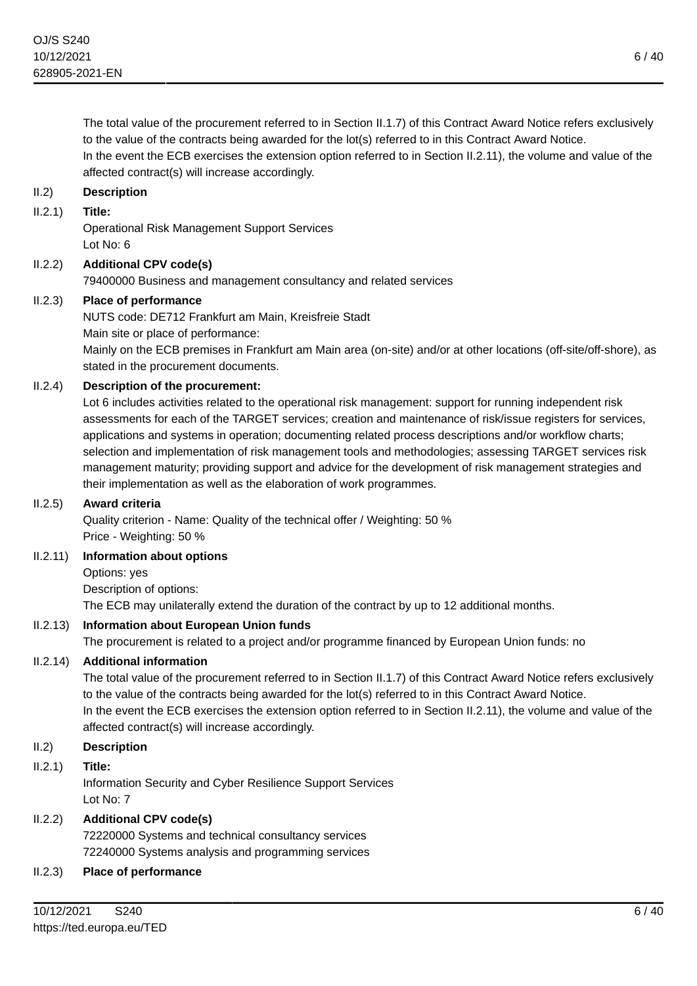The total value of the procurement referred to in Section II.1.7) of this Contract Award Notice refers exclusively to the value of the contracts being awarded for the lot(s) referred to in this Contract Award Notice. In the event the ECB exercises the extension option referred to in Section II.2.11), the volume and value of the affected contract(s) will increase accordingly.

## II.2) **Description**

#### II.2.1) **Title:**

Operational Risk Management Support Services Lot No: 6

## II.2.2) **Additional CPV code(s)**

79400000 Business and management consultancy and related services

#### II.2.3) **Place of performance**

NUTS code: DE712 Frankfurt am Main, Kreisfreie Stadt Main site or place of performance:

Mainly on the ECB premises in Frankfurt am Main area (on-site) and/or at other locations (off-site/off-shore), as stated in the procurement documents.

## II.2.4) **Description of the procurement:**

Lot 6 includes activities related to the operational risk management: support for running independent risk assessments for each of the TARGET services; creation and maintenance of risk/issue registers for services, applications and systems in operation; documenting related process descriptions and/or workflow charts; selection and implementation of risk management tools and methodologies; assessing TARGET services risk management maturity; providing support and advice for the development of risk management strategies and their implementation as well as the elaboration of work programmes.

#### II.2.5) **Award criteria**

Quality criterion - Name: Quality of the technical offer / Weighting: 50 % Price - Weighting: 50 %

#### II.2.11) **Information about options**

Options: yes Description of options: The ECB may unilaterally extend the duration of the contract by up to 12 additional months.

## II.2.13) **Information about European Union funds**

The procurement is related to a project and/or programme financed by European Union funds: no

## II.2.14) **Additional information**

The total value of the procurement referred to in Section II.1.7) of this Contract Award Notice refers exclusively to the value of the contracts being awarded for the lot(s) referred to in this Contract Award Notice. In the event the ECB exercises the extension option referred to in Section II.2.11), the volume and value of the affected contract(s) will increase accordingly.

#### II.2) **Description**

#### II.2.1) **Title:**

Information Security and Cyber Resilience Support Services Lot No: 7

#### II.2.2) **Additional CPV code(s)**

72220000 Systems and technical consultancy services 72240000 Systems analysis and programming services

#### II.2.3) **Place of performance**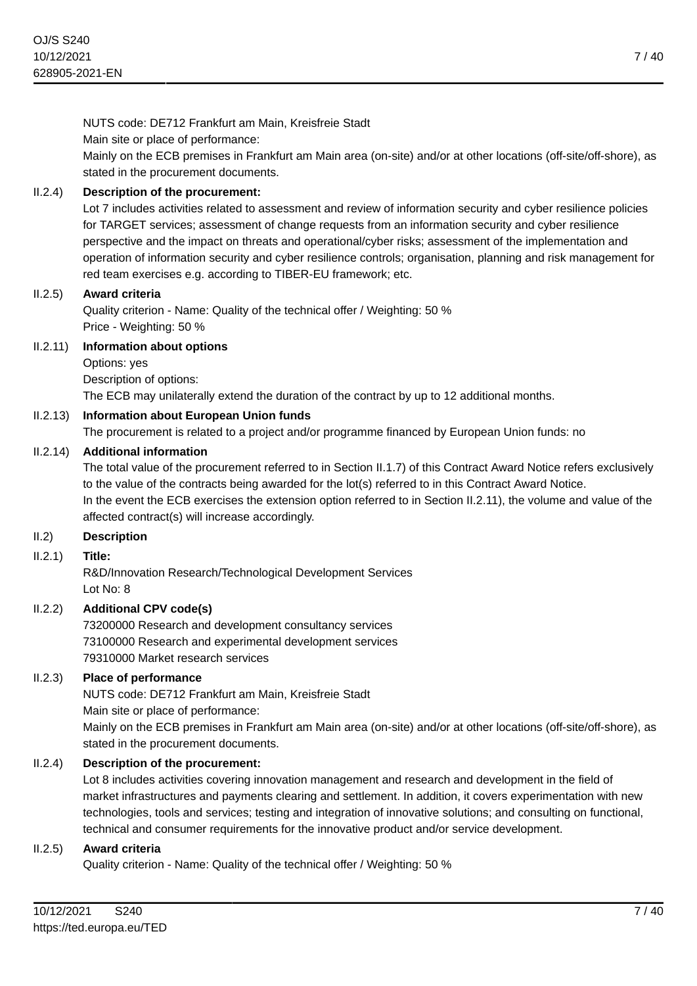NUTS code: DE712 Frankfurt am Main, Kreisfreie Stadt Main site or place of performance: Mainly on the ECB premises in Frankfurt am Main area (on-site) and/or at other locations (off-site/off-shore), as stated in the procurement documents.

## II.2.4) **Description of the procurement:**

Lot 7 includes activities related to assessment and review of information security and cyber resilience policies for TARGET services; assessment of change requests from an information security and cyber resilience perspective and the impact on threats and operational/cyber risks; assessment of the implementation and operation of information security and cyber resilience controls; organisation, planning and risk management for red team exercises e.g. according to TIBER-EU framework; etc.

## II.2.5) **Award criteria**

Quality criterion - Name: Quality of the technical offer / Weighting: 50 % Price - Weighting: 50 %

## II.2.11) **Information about options**

Options: yes

Description of options:

The ECB may unilaterally extend the duration of the contract by up to 12 additional months.

## II.2.13) **Information about European Union funds**

The procurement is related to a project and/or programme financed by European Union funds: no

## II.2.14) **Additional information**

The total value of the procurement referred to in Section II.1.7) of this Contract Award Notice refers exclusively to the value of the contracts being awarded for the lot(s) referred to in this Contract Award Notice. In the event the ECB exercises the extension option referred to in Section II.2.11), the volume and value of the affected contract(s) will increase accordingly.

## II.2) **Description**

#### II.2.1) **Title:**

R&D/Innovation Research/Technological Development Services Lot No: 8

## II.2.2) **Additional CPV code(s)**

73200000 Research and development consultancy services 73100000 Research and experimental development services 79310000 Market research services

## II.2.3) **Place of performance**

NUTS code: DE712 Frankfurt am Main, Kreisfreie Stadt Main site or place of performance:

Mainly on the ECB premises in Frankfurt am Main area (on-site) and/or at other locations (off-site/off-shore), as stated in the procurement documents.

## II.2.4) **Description of the procurement:**

Lot 8 includes activities covering innovation management and research and development in the field of market infrastructures and payments clearing and settlement. In addition, it covers experimentation with new technologies, tools and services; testing and integration of innovative solutions; and consulting on functional, technical and consumer requirements for the innovative product and/or service development.

#### II.2.5) **Award criteria**

Quality criterion - Name: Quality of the technical offer / Weighting: 50 %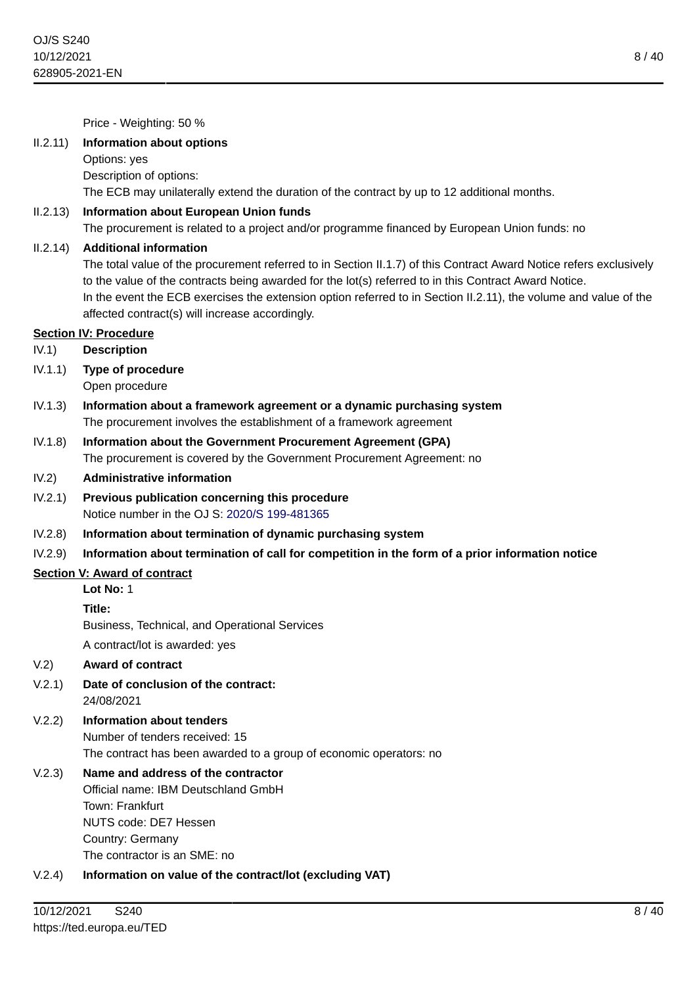Price - Weighting: 50 %

#### II.2.11) **Information about options**

Options: yes

Description of options:

The ECB may unilaterally extend the duration of the contract by up to 12 additional months.

#### II.2.13) **Information about European Union funds**

The procurement is related to a project and/or programme financed by European Union funds: no

#### II.2.14) **Additional information**

The total value of the procurement referred to in Section II.1.7) of this Contract Award Notice refers exclusively to the value of the contracts being awarded for the lot(s) referred to in this Contract Award Notice. In the event the ECB exercises the extension option referred to in Section II.2.11), the volume and value of the affected contract(s) will increase accordingly.

## **Section IV: Procedure**

- IV.1) **Description**
- IV.1.1) **Type of procedure** Open procedure
- IV.1.3) **Information about a framework agreement or a dynamic purchasing system** The procurement involves the establishment of a framework agreement
- IV.1.8) **Information about the Government Procurement Agreement (GPA)** The procurement is covered by the Government Procurement Agreement: no
- IV.2) **Administrative information**
- IV.2.1) **Previous publication concerning this procedure** Notice number in the OJ S: [2020/S 199-481365](https://ted.europa.eu/udl?uri=TED:NOTICE:481365-2020:TEXT:EN:HTML)
- IV.2.8) **Information about termination of dynamic purchasing system**

#### IV.2.9) **Information about termination of call for competition in the form of a prior information notice**

#### **Section V: Award of contract**

**Lot No:** 1

**Title:**

Business, Technical, and Operational Services

A contract/lot is awarded: yes

#### V.2) **Award of contract**

- V.2.1) **Date of conclusion of the contract:** 24/08/2021
- V.2.2) **Information about tenders** Number of tenders received: 15 The contract has been awarded to a group of economic operators: no

- Official name: IBM Deutschland GmbH Town: Frankfurt NUTS code: DE7 Hessen Country: Germany The contractor is an SME: no
- V.2.4) **Information on value of the contract/lot (excluding VAT)**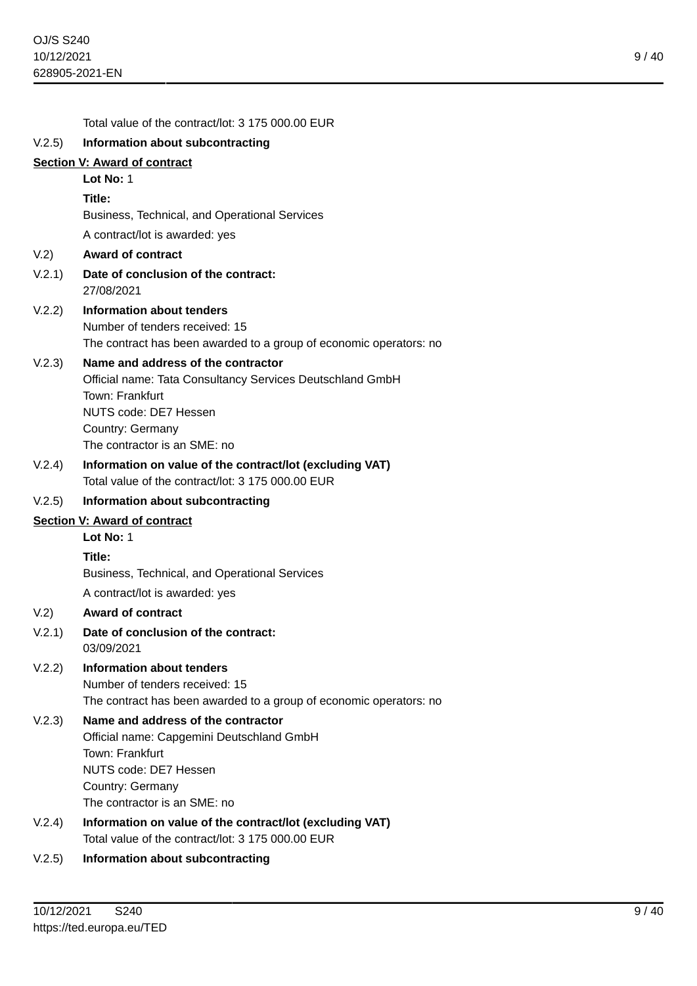|        | Total value of the contract/lot: 3 175 000.00 EUR                            |
|--------|------------------------------------------------------------------------------|
| V.2.5) | Information about subcontracting                                             |
|        | <b>Section V: Award of contract</b>                                          |
|        | Lot No: 1                                                                    |
|        | Title:                                                                       |
|        | Business, Technical, and Operational Services                                |
|        | A contract/lot is awarded: yes                                               |
| V.2)   | <b>Award of contract</b>                                                     |
| V.2.1) | Date of conclusion of the contract:<br>27/08/2021                            |
| V.2.2) | Information about tenders                                                    |
|        | Number of tenders received: 15                                               |
|        | The contract has been awarded to a group of economic operators: no           |
| V.2.3) | Name and address of the contractor                                           |
|        | Official name: Tata Consultancy Services Deutschland GmbH<br>Town: Frankfurt |
|        | NUTS code: DE7 Hessen                                                        |
|        | Country: Germany                                                             |
|        | The contractor is an SME: no                                                 |
| V.2.4) | Information on value of the contract/lot (excluding VAT)                     |
|        | Total value of the contract/lot: 3 175 000.00 EUR                            |
| V.2.5) | Information about subcontracting                                             |
|        | <b>Section V: Award of contract</b>                                          |
|        | Lot No: 1                                                                    |
|        | Title:                                                                       |
|        | Business, Technical, and Operational Services                                |
|        | A contract/lot is awarded: yes                                               |
| V.2)   | <b>Award of contract</b>                                                     |
| V.2.1) | Date of conclusion of the contract:<br>03/09/2021                            |
| V.2.2) | <b>Information about tenders</b>                                             |
|        | Number of tenders received: 15                                               |
|        | The contract has been awarded to a group of economic operators: no           |
| V.2.3) | Name and address of the contractor                                           |
|        | Official name: Capgemini Deutschland GmbH<br>Town: Frankfurt                 |
|        | NUTS code: DE7 Hessen                                                        |
|        | Country: Germany                                                             |
|        | The contractor is an SME: no                                                 |
| V.2.4) | Information on value of the contract/lot (excluding VAT)                     |
|        | Total value of the contract/lot: 3 175 000.00 EUR                            |

V.2.5) **Information about subcontracting**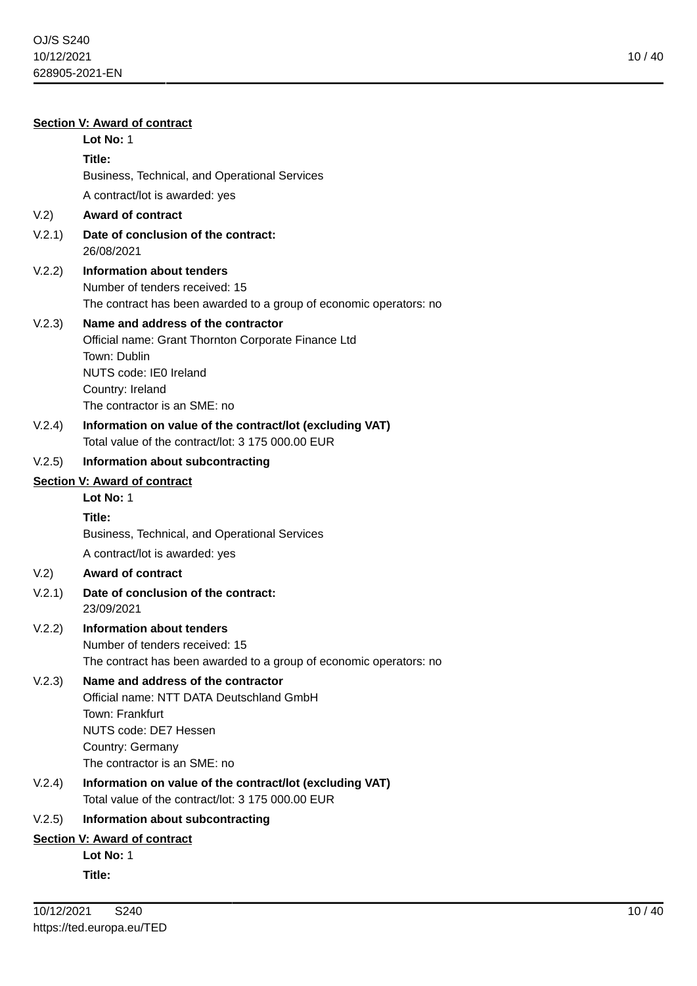| <b>Section V: Award of contract</b> |                                                                                                                                                                                         |  |
|-------------------------------------|-----------------------------------------------------------------------------------------------------------------------------------------------------------------------------------------|--|
|                                     | Lot No: 1                                                                                                                                                                               |  |
|                                     | Title:                                                                                                                                                                                  |  |
|                                     | Business, Technical, and Operational Services                                                                                                                                           |  |
|                                     | A contract/lot is awarded: yes                                                                                                                                                          |  |
| V.2)                                | <b>Award of contract</b>                                                                                                                                                                |  |
| V.2.1)                              | Date of conclusion of the contract:<br>26/08/2021                                                                                                                                       |  |
| V.2.2)                              | Information about tenders<br>Number of tenders received: 15<br>The contract has been awarded to a group of economic operators: no                                                       |  |
| V.2.3)                              | Name and address of the contractor<br>Official name: Grant Thornton Corporate Finance Ltd<br>Town: Dublin<br>NUTS code: IE0 Ireland<br>Country: Ireland<br>The contractor is an SME: no |  |
| V.2.4)                              | Information on value of the contract/lot (excluding VAT)<br>Total value of the contract/lot: 3 175 000.00 EUR                                                                           |  |
| V.2.5)                              | Information about subcontracting                                                                                                                                                        |  |
| Section V: Award of contract        |                                                                                                                                                                                         |  |
|                                     | Lot No: 1                                                                                                                                                                               |  |
|                                     | Title:                                                                                                                                                                                  |  |
|                                     | Business, Technical, and Operational Services                                                                                                                                           |  |
|                                     | A contract/lot is awarded: yes                                                                                                                                                          |  |
| V.2)                                | <b>Award of contract</b>                                                                                                                                                                |  |
| V.2.1)                              | Date of conclusion of the contract:<br>23/09/2021                                                                                                                                       |  |
| V.2.2)                              | Information about tenders<br>Number of tenders received: 15<br>The contract has been awarded to a group of economic operators: no                                                       |  |
| V.2.3)                              | Name and address of the contractor<br>Official name: NTT DATA Deutschland GmbH<br>Town: Frankfurt<br>NUTS code: DE7 Hessen<br>Country: Germany<br>The contractor is an SME: no          |  |
| V.2.4)                              | Information on value of the contract/lot (excluding VAT)<br>Total value of the contract/lot: 3 175 000.00 EUR                                                                           |  |
| V.2.5)                              | Information about subcontracting                                                                                                                                                        |  |
|                                     | Section V: Award of contract                                                                                                                                                            |  |
|                                     | Lot No: 1                                                                                                                                                                               |  |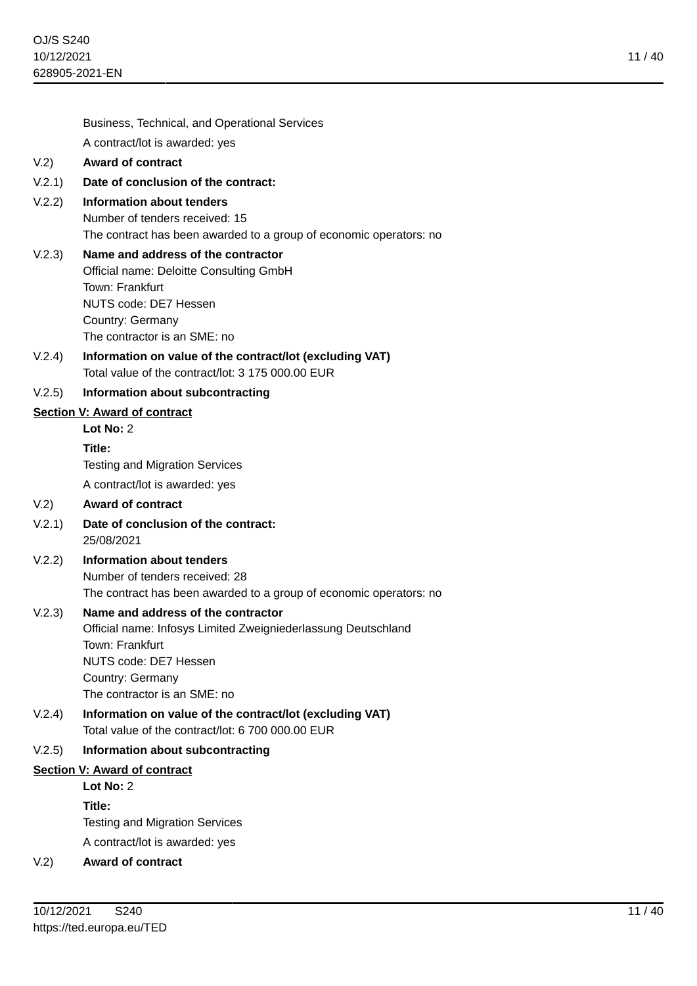Business, Technical, and Operational Services A contract/lot is awarded: yes V.2) **Award of contract** V.2.1) **Date of conclusion of the contract:** V.2.2) **Information about tenders** Number of tenders received: 15 The contract has been awarded to a group of economic operators: no V.2.3) **Name and address of the contractor** Official name: Deloitte Consulting GmbH Town: Frankfurt NUTS code: DE7 Hessen Country: Germany The contractor is an SME: no V.2.4) **Information on value of the contract/lot (excluding VAT)** Total value of the contract/lot: 3 175 000.00 EUR V.2.5) **Information about subcontracting Section V: Award of contract Lot No:** 2 **Title:** Testing and Migration Services A contract/lot is awarded: yes V.2) **Award of contract** V.2.1) **Date of conclusion of the contract:** 25/08/2021 V.2.2) **Information about tenders** Number of tenders received: 28 The contract has been awarded to a group of economic operators: no V.2.3) **Name and address of the contractor** Official name: Infosys Limited Zweigniederlassung Deutschland Town: Frankfurt NUTS code: DE7 Hessen Country: Germany The contractor is an SME: no V.2.4) **Information on value of the contract/lot (excluding VAT)** Total value of the contract/lot: 6 700 000.00 EUR V.2.5) **Information about subcontracting Section V: Award of contract Lot No:** 2 **Title:**

Testing and Migration Services

A contract/lot is awarded: yes

# V.2) **Award of contract**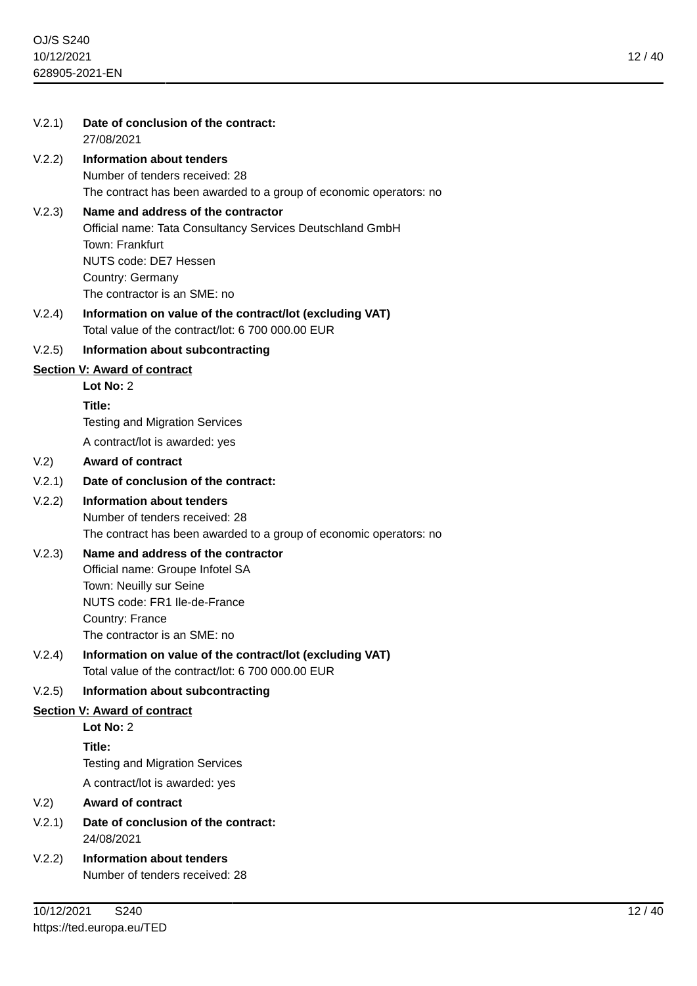| V.2.1) | Date of conclusion of the contract:<br>27/08/2021                                                                                                                                               |
|--------|-------------------------------------------------------------------------------------------------------------------------------------------------------------------------------------------------|
| V.2.2) | <b>Information about tenders</b><br>Number of tenders received: 28<br>The contract has been awarded to a group of economic operators: no                                                        |
| V.2.3) | Name and address of the contractor<br>Official name: Tata Consultancy Services Deutschland GmbH<br>Town: Frankfurt<br>NUTS code: DE7 Hessen<br>Country: Germany<br>The contractor is an SME: no |
| V.2.4) | Information on value of the contract/lot (excluding VAT)<br>Total value of the contract/lot: 6 700 000,00 EUR                                                                                   |
| V.2.5) | Information about subcontracting                                                                                                                                                                |
|        | <b>Section V: Award of contract</b>                                                                                                                                                             |
|        | Lot No: 2                                                                                                                                                                                       |
|        | Title:                                                                                                                                                                                          |
|        | <b>Testing and Migration Services</b>                                                                                                                                                           |
|        | A contract/lot is awarded: yes                                                                                                                                                                  |
| V.2)   | <b>Award of contract</b>                                                                                                                                                                        |
| V.2.1) | Date of conclusion of the contract:                                                                                                                                                             |
| V.2.2) | <b>Information about tenders</b><br>Number of tenders received: 28<br>The contract has been awarded to a group of economic operators: no                                                        |
| V.2.3) | Name and address of the contractor<br>Official name: Groupe Infotel SA<br>Town: Neuilly sur Seine<br>NUTS code: FR1 Ile-de-France<br>Country: France<br>The contractor is an SME: no            |
| V.2.4) | Information on value of the contract/lot (excluding VAT)<br>Total value of the contract/lot: 6 700 000.00 EUR                                                                                   |
| V.2.5) | Information about subcontracting                                                                                                                                                                |
|        | <b>Section V: Award of contract</b>                                                                                                                                                             |
|        | Lot No: $2$                                                                                                                                                                                     |

**Lot No:** 2 **Title:** Testing and Migration Services A contract/lot is awarded: yes

## V.2) **Award of contract**

- V.2.1) **Date of conclusion of the contract:** 24/08/2021
- V.2.2) **Information about tenders** Number of tenders received: 28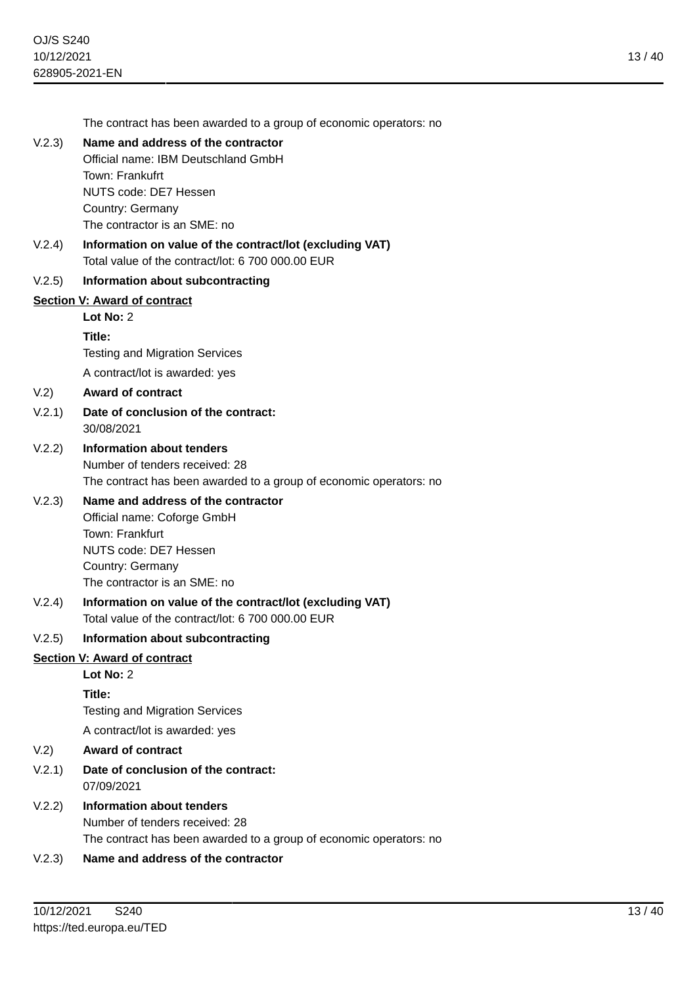The contract has been awarded to a group of economic operators: no

## V.2.3) **Name and address of the contractor**

Official name: IBM Deutschland GmbH Town: Frankufrt NUTS code: DE7 Hessen Country: Germany

The contractor is an SME: no

V.2.4) **Information on value of the contract/lot (excluding VAT)** Total value of the contract/lot: 6 700 000.00 EUR

#### V.2.5) **Information about subcontracting**

#### **Section V: Award of contract**

#### **Lot No:** 2

#### **Title:**

Testing and Migration Services

A contract/lot is awarded: yes

#### V.2) **Award of contract**

## V.2.1) **Date of conclusion of the contract:** 30/08/2021

## V.2.2) **Information about tenders** Number of tenders received: 28 The contract has been awarded to a group of economic operators: no

## V.2.3) **Name and address of the contractor**

Official name: Coforge GmbH Town: Frankfurt NUTS code: DE7 Hessen Country: Germany The contractor is an SME: no

#### V.2.4) **Information on value of the contract/lot (excluding VAT)** Total value of the contract/lot: 6 700 000.00 EUR

#### V.2.5) **Information about subcontracting**

## **Section V: Award of contract**

**Lot No:** 2

**Title:**

Testing and Migration Services

A contract/lot is awarded: yes

## V.2) **Award of contract**

- V.2.1) **Date of conclusion of the contract:** 07/09/2021
- V.2.2) **Information about tenders** Number of tenders received: 28 The contract has been awarded to a group of economic operators: no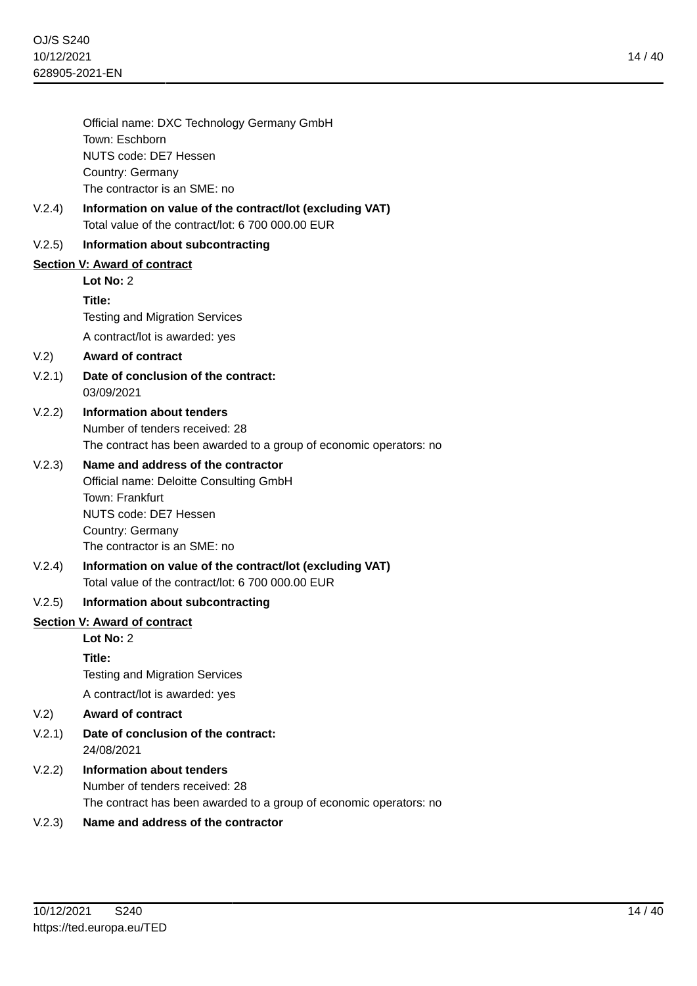|        | Official name: DXC Technology Germany GmbH<br>Town: Eschborn                                                  |
|--------|---------------------------------------------------------------------------------------------------------------|
|        | NUTS code: DE7 Hessen                                                                                         |
|        | Country: Germany                                                                                              |
|        | The contractor is an SME: no                                                                                  |
| V.2.4) | Information on value of the contract/lot (excluding VAT)<br>Total value of the contract/lot: 6 700 000.00 EUR |
| V.2.5) | Information about subcontracting                                                                              |
|        | Section V: Award of contract                                                                                  |
|        | Lot No: 2                                                                                                     |
|        | Title:                                                                                                        |
|        | <b>Testing and Migration Services</b>                                                                         |
|        | A contract/lot is awarded: yes                                                                                |
| V.2)   | <b>Award of contract</b>                                                                                      |
| V.2.1) | Date of conclusion of the contract:<br>03/09/2021                                                             |
| V.2.2) | Information about tenders                                                                                     |
|        | Number of tenders received: 28                                                                                |
|        | The contract has been awarded to a group of economic operators: no                                            |
| V.2.3) | Name and address of the contractor                                                                            |
|        | Official name: Deloitte Consulting GmbH                                                                       |
|        | Town: Frankfurt<br>NUTS code: DE7 Hessen                                                                      |
|        | Country: Germany                                                                                              |
|        | The contractor is an SME: no                                                                                  |
| V.2.4) | Information on value of the contract/lot (excluding VAT)<br>Total value of the contract/lot: 6 700 000.00 EUR |
|        |                                                                                                               |
| V.2.5) | Information about subcontracting                                                                              |
|        | Section V: Award of contract<br>Lot No: 2                                                                     |
|        |                                                                                                               |
|        | Title:<br><b>Testing and Migration Services</b>                                                               |
|        | A contract/lot is awarded: yes                                                                                |
|        | <b>Award of contract</b>                                                                                      |
| V.2)   |                                                                                                               |
| V.2.1) | Date of conclusion of the contract:<br>24/08/2021                                                             |
| V.2.2) | <b>Information about tenders</b><br>Number of tenders received: 28                                            |

The contract has been awarded to a group of economic operators: no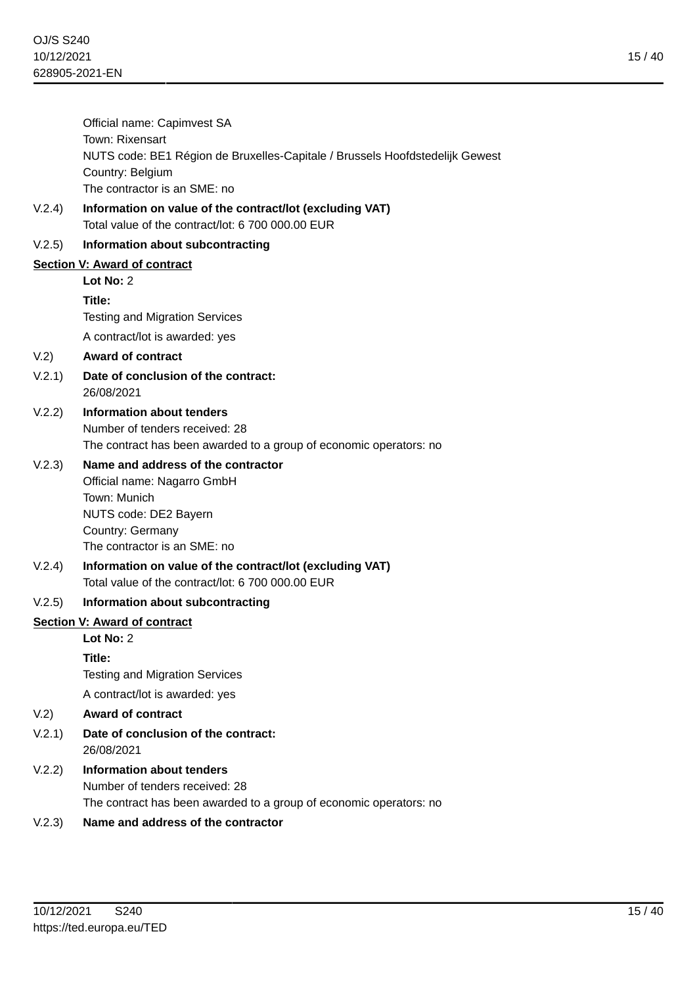V.2.4) **Information on value of the contract/lot (excluding VAT)** Total value of the contract/lot: 6 700 000.00 EUR

## V.2.5) **Information about subcontracting**

## **Section V: Award of contract**

**Lot No:** 2

**Title:**

Testing and Migration Services

A contract/lot is awarded: yes

# V.2) **Award of contract**

- V.2.1) **Date of conclusion of the contract:** 26/08/2021
- V.2.2) **Information about tenders** Number of tenders received: 28 The contract has been awarded to a group of economic operators: no

# V.2.3) **Name and address of the contractor**

Official name: Nagarro GmbH Town: Munich NUTS code: DE2 Bayern Country: Germany The contractor is an SME: no

V.2.4) **Information on value of the contract/lot (excluding VAT)** Total value of the contract/lot: 6 700 000.00 EUR

# V.2.5) **Information about subcontracting**

## **Section V: Award of contract**

## **Lot No:** 2

**Title:**

Testing and Migration Services

A contract/lot is awarded: yes

- V.2) **Award of contract**
- V.2.1) **Date of conclusion of the contract:** 26/08/2021
- V.2.2) **Information about tenders** Number of tenders received: 28 The contract has been awarded to a group of economic operators: no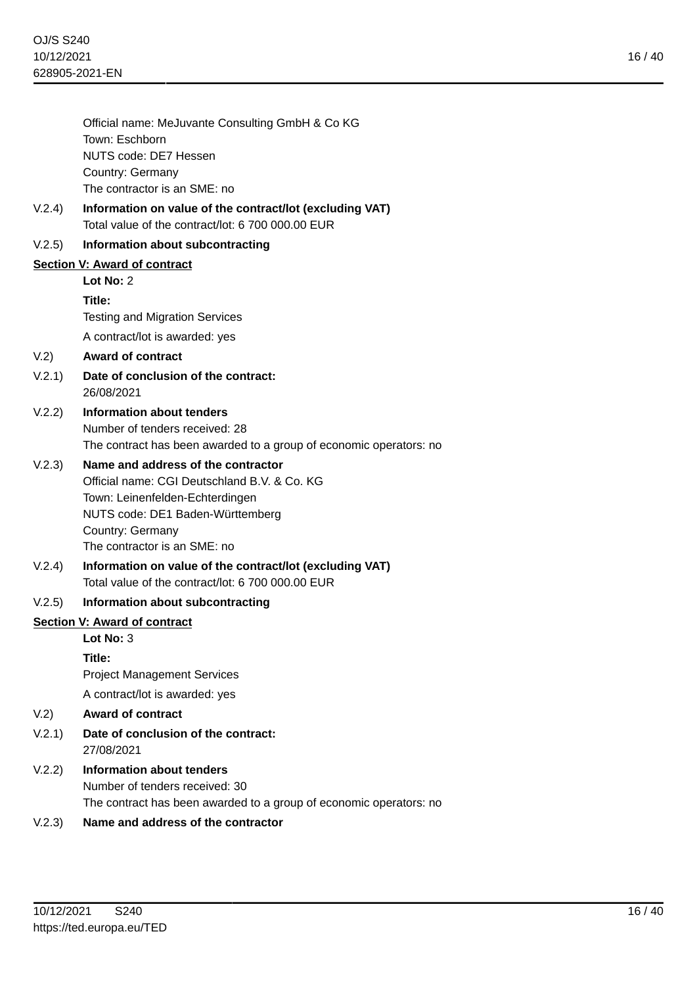16 / 40

|        | Official name: MeJuvante Consulting GmbH & Co KG                                |
|--------|---------------------------------------------------------------------------------|
|        | Town: Eschborn                                                                  |
|        | NUTS code: DE7 Hessen                                                           |
|        | Country: Germany<br>The contractor is an SME: no                                |
| V.2.4) | Information on value of the contract/lot (excluding VAT)                        |
|        | Total value of the contract/lot: 6 700 000.00 EUR                               |
| V.2.5) | Information about subcontracting                                                |
|        | <b>Section V: Award of contract</b>                                             |
|        | Lot No: 2                                                                       |
|        | Title:                                                                          |
|        | <b>Testing and Migration Services</b>                                           |
|        | A contract/lot is awarded: yes                                                  |
| V.2)   | <b>Award of contract</b>                                                        |
| V.2.1) | Date of conclusion of the contract:<br>26/08/2021                               |
| V.2.2) | Information about tenders                                                       |
|        | Number of tenders received: 28                                                  |
|        | The contract has been awarded to a group of economic operators: no              |
| V.2.3) | Name and address of the contractor                                              |
|        | Official name: CGI Deutschland B.V. & Co. KG<br>Town: Leinenfelden-Echterdingen |
|        | NUTS code: DE1 Baden-Württemberg                                                |
|        | Country: Germany                                                                |
|        | The contractor is an SME: no                                                    |
| V.2.4) | Information on value of the contract/lot (excluding VAT)                        |
|        | Total value of the contract/lot: 6 700 000.00 EUR                               |
| V.2.5) | Information about subcontracting                                                |
|        | <b>Section V: Award of contract</b>                                             |
|        | Lot No: 3                                                                       |
|        | Title:                                                                          |
|        | <b>Project Management Services</b>                                              |
|        | A contract/lot is awarded: yes                                                  |
| V.2)   | <b>Award of contract</b>                                                        |
| V.2.1) | Date of conclusion of the contract:<br>27/08/2021                               |
| V.2.2) | <b>Information about tenders</b>                                                |
|        | Number of tenders received: 30                                                  |
|        | The contract has been awarded to a group of economic operators: no              |
|        |                                                                                 |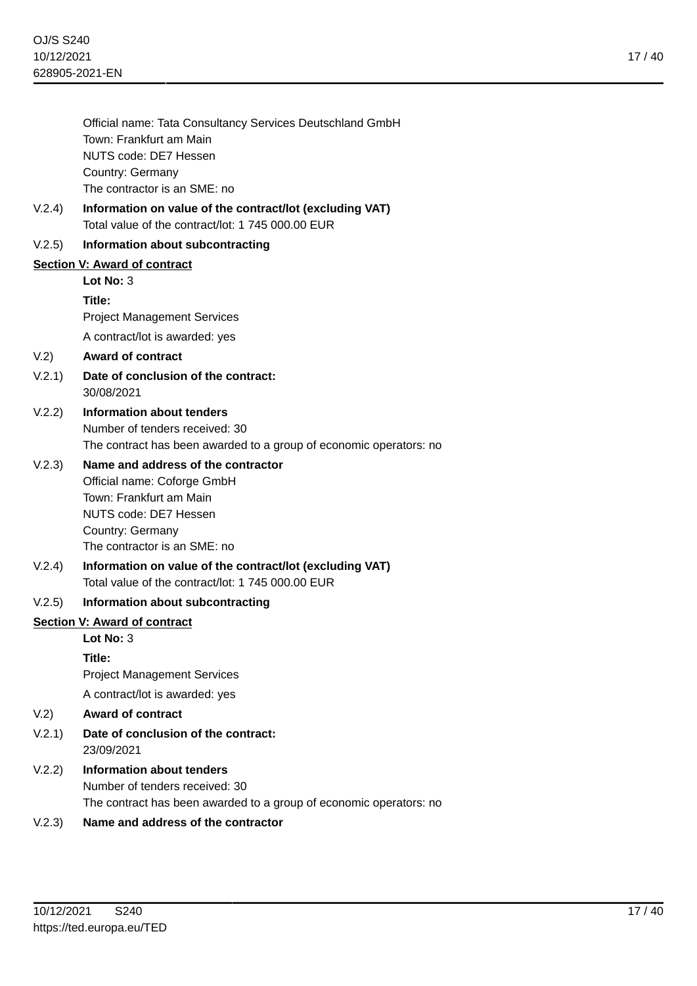Official name: Tata Consultancy Services Deutschland GmbH Town: Frankfurt am Main NUTS code: DE7 Hessen Country: Germany The contractor is an SME: no

V.2.4) **Information on value of the contract/lot (excluding VAT)** Total value of the contract/lot: 1 745 000.00 EUR

## V.2.5) **Information about subcontracting**

## **Section V: Award of contract**

**Lot No:** 3 **Title:** Project Management Services

A contract/lot is awarded: yes

## V.2) **Award of contract**

- V.2.1) **Date of conclusion of the contract:** 30/08/2021
- V.2.2) **Information about tenders** Number of tenders received: 30 The contract has been awarded to a group of economic operators: no

# V.2.3) **Name and address of the contractor**

Official name: Coforge GmbH Town: Frankfurt am Main NUTS code: DE7 Hessen Country: Germany The contractor is an SME: no

V.2.4) **Information on value of the contract/lot (excluding VAT)** Total value of the contract/lot: 1 745 000.00 EUR

## V.2.5) **Information about subcontracting**

#### **Section V: Award of contract**

## **Lot No:** 3

**Title:**

Project Management Services

A contract/lot is awarded: yes

- V.2) **Award of contract**
- V.2.1) **Date of conclusion of the contract:** 23/09/2021
- V.2.2) **Information about tenders** Number of tenders received: 30 The contract has been awarded to a group of economic operators: no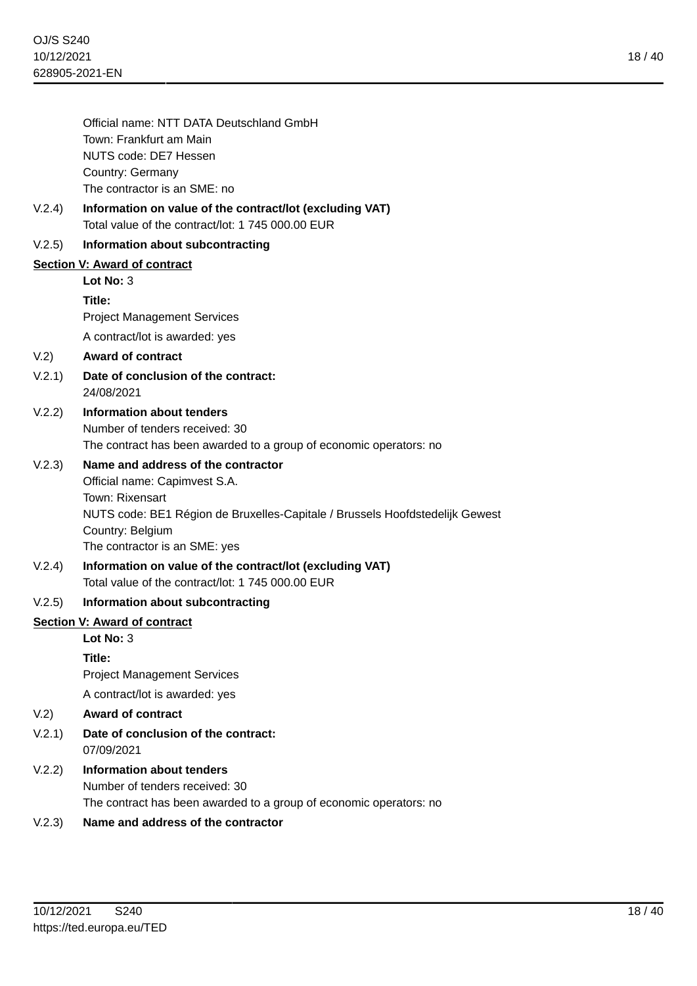|        | Official name: NTT DATA Deutschland GmbH<br>Town: Frankfurt am Main<br>NUTS code: DE7 Hessen<br>Country: Germany<br>The contractor is an SME: no                                                                            |
|--------|-----------------------------------------------------------------------------------------------------------------------------------------------------------------------------------------------------------------------------|
| V.2.4) | Information on value of the contract/lot (excluding VAT)<br>Total value of the contract/lot: 1 745 000.00 EUR                                                                                                               |
| V.2.5) | Information about subcontracting                                                                                                                                                                                            |
|        | <b>Section V: Award of contract</b><br>Lot No: 3                                                                                                                                                                            |
|        | Title:<br><b>Project Management Services</b>                                                                                                                                                                                |
|        | A contract/lot is awarded: yes                                                                                                                                                                                              |
| V.2)   | <b>Award of contract</b>                                                                                                                                                                                                    |
| V.2.1) | Date of conclusion of the contract:<br>24/08/2021                                                                                                                                                                           |
| V.2.2) | Information about tenders<br>Number of tenders received: 30<br>The contract has been awarded to a group of economic operators: no                                                                                           |
| V.2.3) | Name and address of the contractor<br>Official name: Capimvest S.A.<br>Town: Rixensart<br>NUTS code: BE1 Région de Bruxelles-Capitale / Brussels Hoofdstedelijk Gewest<br>Country: Belgium<br>The contractor is an SME: yes |
| V.2.4) | Information on value of the contract/lot (excluding VAT)<br>Total value of the contract/lot: 1 745 000,00 EUR                                                                                                               |
| V.2.5) | Information about subcontracting                                                                                                                                                                                            |
|        | <b>Section V: Award of contract</b>                                                                                                                                                                                         |
|        | Lot No: $3$                                                                                                                                                                                                                 |
|        | Title:<br><b>Project Management Services</b>                                                                                                                                                                                |
|        | A contract/lot is awarded: yes                                                                                                                                                                                              |
| V.2)   | <b>Award of contract</b>                                                                                                                                                                                                    |
| V.2.1) | Date of conclusion of the contract:<br>07/09/2021                                                                                                                                                                           |
| V.2.2) | <b>Information about tenders</b><br>Number of tenders received: 30<br>The contract has been awarded to a group of economic operators: no                                                                                    |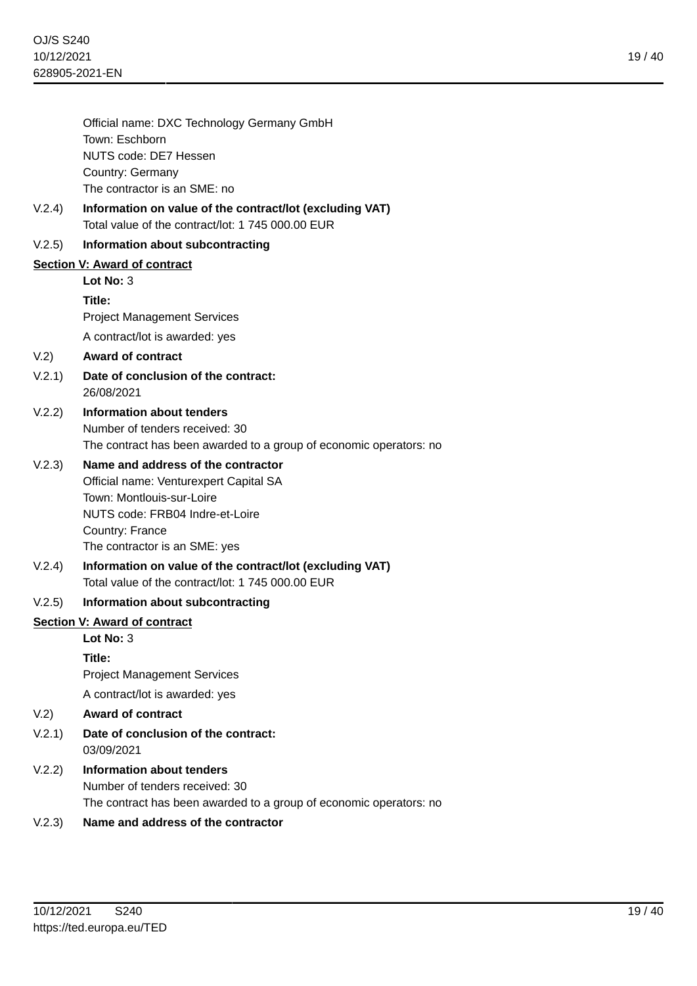|        | Official name: DXC Technology Germany GmbH<br>Town: Eschborn                                                                                                                                     |
|--------|--------------------------------------------------------------------------------------------------------------------------------------------------------------------------------------------------|
|        | NUTS code: DE7 Hessen                                                                                                                                                                            |
|        | Country: Germany                                                                                                                                                                                 |
|        | The contractor is an SME: no                                                                                                                                                                     |
| V.2.4) | Information on value of the contract/lot (excluding VAT)<br>Total value of the contract/lot: 1 745 000,00 EUR                                                                                    |
| V.2.5) | Information about subcontracting                                                                                                                                                                 |
|        | Section V: Award of contract                                                                                                                                                                     |
|        | Lot No: $3$                                                                                                                                                                                      |
|        | Title:                                                                                                                                                                                           |
|        | <b>Project Management Services</b>                                                                                                                                                               |
|        | A contract/lot is awarded: yes                                                                                                                                                                   |
| V.2)   | <b>Award of contract</b>                                                                                                                                                                         |
| V.2.1) | Date of conclusion of the contract:<br>26/08/2021                                                                                                                                                |
| V.2.2) | Information about tenders<br>Number of tenders received: 30<br>The contract has been awarded to a group of economic operators: no                                                                |
| V.2.3) | Name and address of the contractor<br>Official name: Venturexpert Capital SA<br>Town: Montlouis-sur-Loire<br>NUTS code: FRB04 Indre-et-Loire<br>Country: France<br>The contractor is an SME: yes |
| V.2.4) | Information on value of the contract/lot (excluding VAT)<br>Total value of the contract/lot: 1745 000.00 EUR                                                                                     |
| V.2.5) | Information about subcontracting                                                                                                                                                                 |
|        | Section V: Award of contract                                                                                                                                                                     |
|        | Lot No: 3                                                                                                                                                                                        |
|        | Title:                                                                                                                                                                                           |
|        | <b>Project Management Services</b>                                                                                                                                                               |
|        | A contract/lot is awarded: yes                                                                                                                                                                   |
| V.2)   | <b>Award of contract</b>                                                                                                                                                                         |
| V.2.1  | Date of conclusion of the contract:<br>03/09/2021                                                                                                                                                |
| V.2.2) | <b>Information about tenders</b><br>Number of tenders received: 30                                                                                                                               |

The contract has been awarded to a group of economic operators: no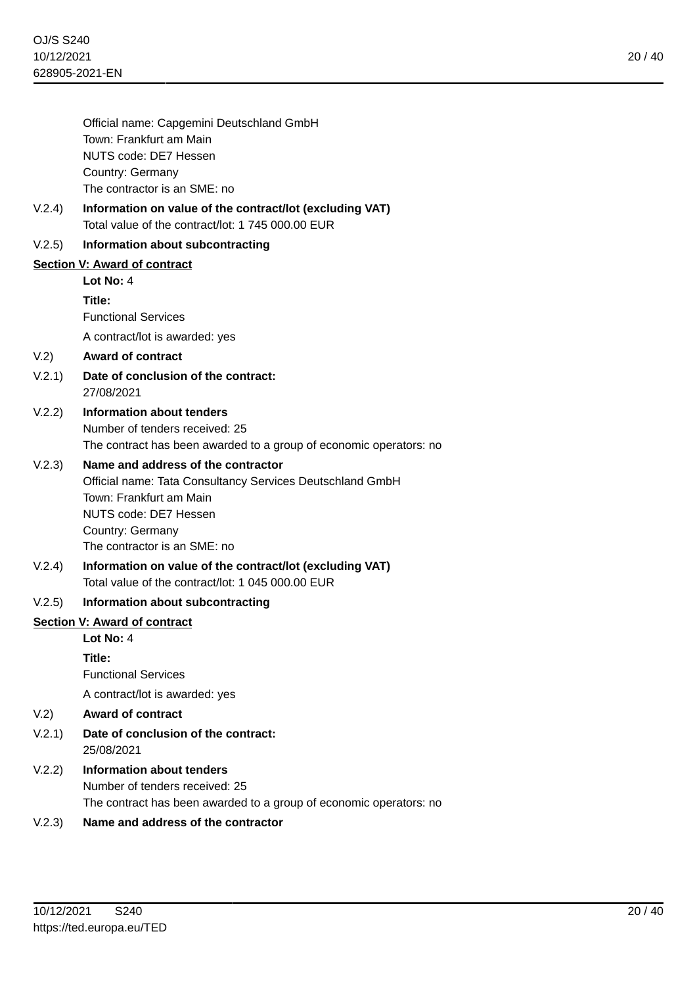|        | Official name: Capgemini Deutschland GmbH<br>Town: Frankfurt am Main<br>NUTS code: DE7 Hessen<br>Country: Germany<br>The contractor is an SME: no                                                       |
|--------|---------------------------------------------------------------------------------------------------------------------------------------------------------------------------------------------------------|
|        |                                                                                                                                                                                                         |
| V.2.4) | Information on value of the contract/lot (excluding VAT)<br>Total value of the contract/lot: 1745 000.00 EUR                                                                                            |
| V.2.5) | Information about subcontracting                                                                                                                                                                        |
|        | <b>Section V: Award of contract</b>                                                                                                                                                                     |
|        | Lot No: $4$                                                                                                                                                                                             |
|        | Title:                                                                                                                                                                                                  |
|        | <b>Functional Services</b>                                                                                                                                                                              |
|        | A contract/lot is awarded: yes                                                                                                                                                                          |
| V.2)   | <b>Award of contract</b>                                                                                                                                                                                |
| V.2.1) | Date of conclusion of the contract:<br>27/08/2021                                                                                                                                                       |
| V.2.2) | Information about tenders<br>Number of tenders received: 25<br>The contract has been awarded to a group of economic operators: no                                                                       |
| V.2.3) | Name and address of the contractor<br>Official name: Tata Consultancy Services Deutschland GmbH<br>Town: Frankfurt am Main<br>NUTS code: DE7 Hessen<br>Country: Germany<br>The contractor is an SME: no |
| V.2.4) | Information on value of the contract/lot (excluding VAT)<br>Total value of the contract/lot: 1 045 000.00 EUR                                                                                           |
| V.2.5) | Information about subcontracting                                                                                                                                                                        |
|        | <b>Section V: Award of contract</b>                                                                                                                                                                     |
|        | Lot No: 4                                                                                                                                                                                               |
|        | Title:<br><b>Functional Services</b>                                                                                                                                                                    |
|        | A contract/lot is awarded: yes                                                                                                                                                                          |
| V.2)   | <b>Award of contract</b>                                                                                                                                                                                |
| V.2.1) | Date of conclusion of the contract:<br>25/08/2021                                                                                                                                                       |
| V.2.2) | <b>Information about tenders</b><br>Number of tenders received: 25<br>The contract has been awarded to a group of economic operators: no                                                                |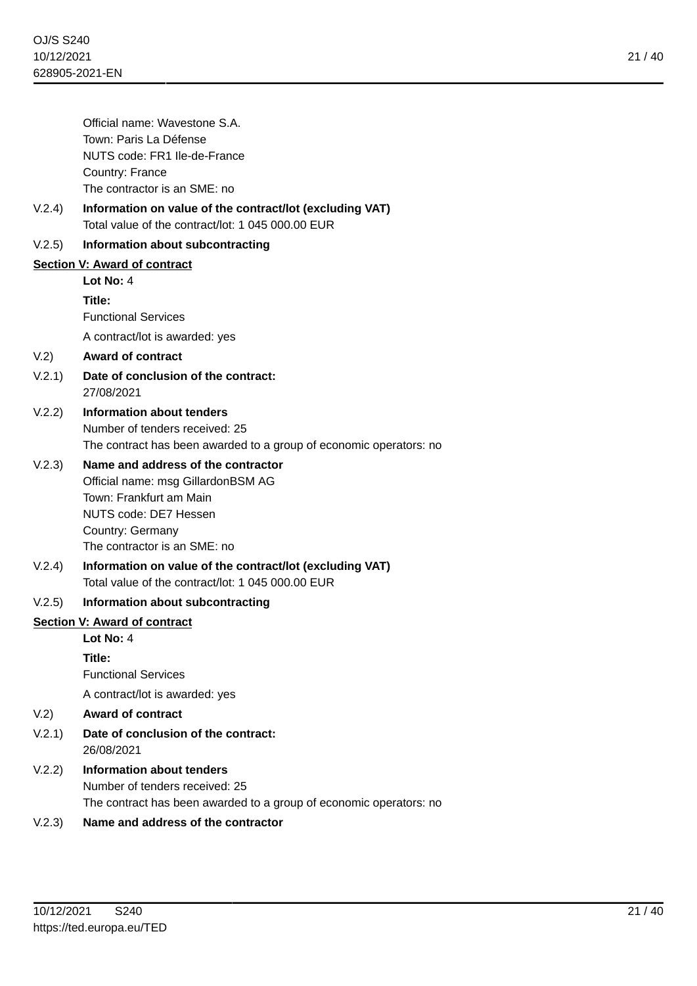21 / 40

|        | Official name: Wavestone S.A.                            |
|--------|----------------------------------------------------------|
|        | Town: Paris La Défense                                   |
|        | NUTS code: FR1 Ile-de-France                             |
|        | Country: France                                          |
|        | The contractor is an SME: no                             |
| V.2.4) | Information on value of the contract/lot (excluding VAT) |
|        | Total value of the contract/lot: 1 045 000.00 EUR        |
| V.2.5) | Information about subcontracting                         |
|        | Section V: Award of contract                             |

**Lot No:** 4 **Title:**

Functional Services A contract/lot is awarded: yes

#### V.2) **Award of contract**

- V.2.1) **Date of conclusion of the contract:** 27/08/2021
- V.2.2) **Information about tenders** Number of tenders received: 25 The contract has been awarded to a group of economic operators: no

## V.2.3) **Name and address of the contractor**

Official name: msg GillardonBSM AG Town: Frankfurt am Main NUTS code: DE7 Hessen Country: Germany The contractor is an SME: no

V.2.4) **Information on value of the contract/lot (excluding VAT)** Total value of the contract/lot: 1 045 000.00 EUR

#### V.2.5) **Information about subcontracting**

#### **Section V: Award of contract**

**Lot No:** 4

**Title:**

Functional Services

A contract/lot is awarded: yes

- V.2) **Award of contract**
- V.2.1) **Date of conclusion of the contract:** 26/08/2021
- V.2.2) **Information about tenders** Number of tenders received: 25 The contract has been awarded to a group of economic operators: no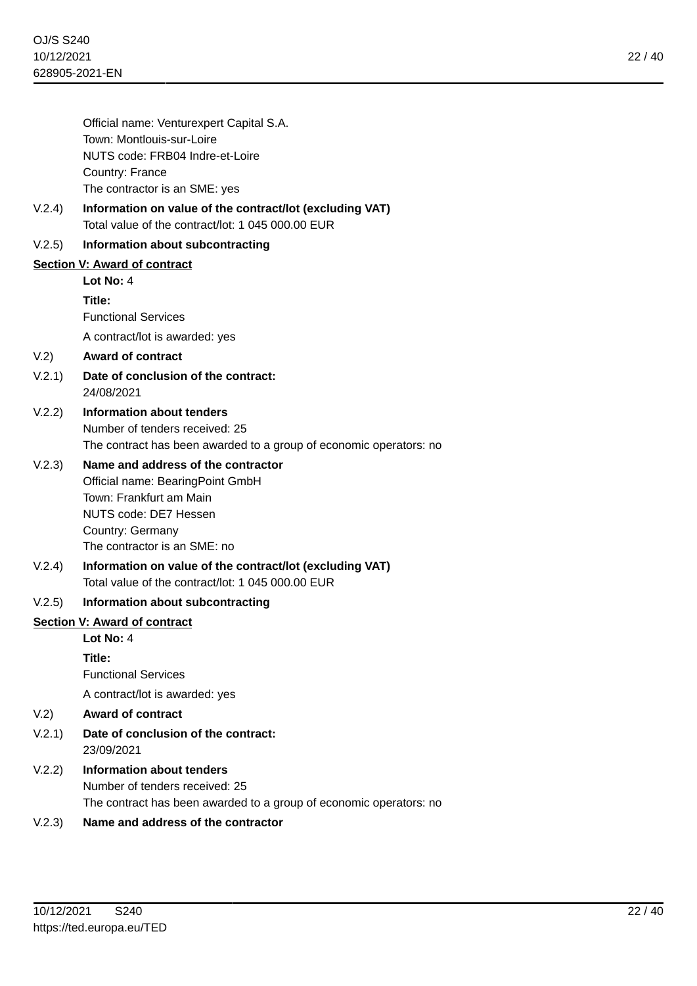Official name: Venturexpert Capital S.A. Town: Montlouis-sur-Loire NUTS code: FRB04 Indre-et-Loire Country: France The contractor is an SME: yes

V.2.4) **Information on value of the contract/lot (excluding VAT)** Total value of the contract/lot: 1 045 000.00 EUR

## V.2.5) **Information about subcontracting**

**Section V: Award of contract**

**Lot No:** 4

**Title:** Functional Services

A contract/lot is awarded: yes

## V.2) **Award of contract**

- V.2.1) **Date of conclusion of the contract:** 24/08/2021
- V.2.2) **Information about tenders** Number of tenders received: 25 The contract has been awarded to a group of economic operators: no

## V.2.3) **Name and address of the contractor**

Official name: BearingPoint GmbH Town: Frankfurt am Main NUTS code: DE7 Hessen Country: Germany The contractor is an SME: no

V.2.4) **Information on value of the contract/lot (excluding VAT)** Total value of the contract/lot: 1 045 000.00 EUR

## V.2.5) **Information about subcontracting**

#### **Section V: Award of contract**

**Lot No:** 4

**Title:**

Functional Services

A contract/lot is awarded: yes

- V.2) **Award of contract**
- V.2.1) **Date of conclusion of the contract:** 23/09/2021
- V.2.2) **Information about tenders** Number of tenders received: 25 The contract has been awarded to a group of economic operators: no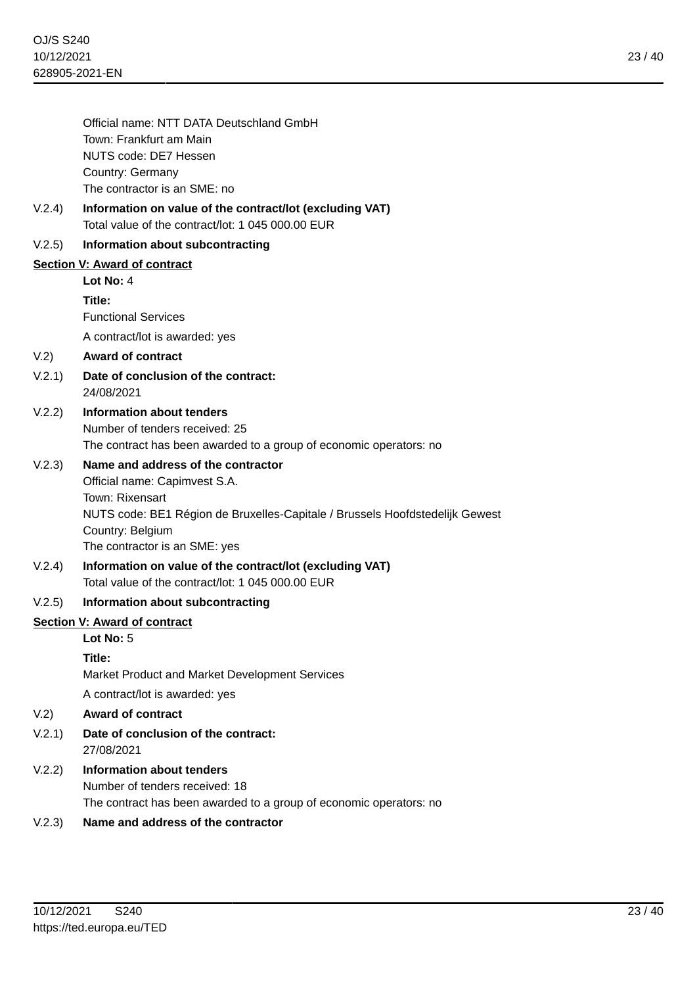|        | Official name: NTT DATA Deutschland GmbH<br>Town: Frankfurt am Main<br>NUTS code: DE7 Hessen<br>Country: Germany<br>The contractor is an SME: no                                                                            |
|--------|-----------------------------------------------------------------------------------------------------------------------------------------------------------------------------------------------------------------------------|
| V.2.4) | Information on value of the contract/lot (excluding VAT)<br>Total value of the contract/lot: 1 045 000,00 EUR                                                                                                               |
| V.2.5) | Information about subcontracting                                                                                                                                                                                            |
|        | <b>Section V: Award of contract</b>                                                                                                                                                                                         |
|        | Lot $No: 4$                                                                                                                                                                                                                 |
|        | Title:<br><b>Functional Services</b>                                                                                                                                                                                        |
|        | A contract/lot is awarded: yes                                                                                                                                                                                              |
| V.2)   | <b>Award of contract</b>                                                                                                                                                                                                    |
| V.2.1) | Date of conclusion of the contract:<br>24/08/2021                                                                                                                                                                           |
| V.2.2) | Information about tenders<br>Number of tenders received: 25<br>The contract has been awarded to a group of economic operators: no                                                                                           |
| V.2.3) | Name and address of the contractor<br>Official name: Capimvest S.A.<br>Town: Rixensart<br>NUTS code: BE1 Région de Bruxelles-Capitale / Brussels Hoofdstedelijk Gewest<br>Country: Belgium<br>The contractor is an SME: yes |
| V.2.4) | Information on value of the contract/lot (excluding VAT)<br>Total value of the contract/lot: 1 045 000.00 EUR                                                                                                               |
| V.2.5) | Information about subcontracting                                                                                                                                                                                            |
|        | <b>Section V: Award of contract</b>                                                                                                                                                                                         |
|        | Lot No: 5                                                                                                                                                                                                                   |
|        | Title:<br>Market Product and Market Development Services                                                                                                                                                                    |
|        | A contract/lot is awarded: yes                                                                                                                                                                                              |
| V.2)   | <b>Award of contract</b>                                                                                                                                                                                                    |
| V.2.1) | Date of conclusion of the contract:<br>27/08/2021                                                                                                                                                                           |
| V.2.2) | <b>Information about tenders</b><br>Number of tenders received: 18<br>The contract has been awarded to a group of economic operators: no                                                                                    |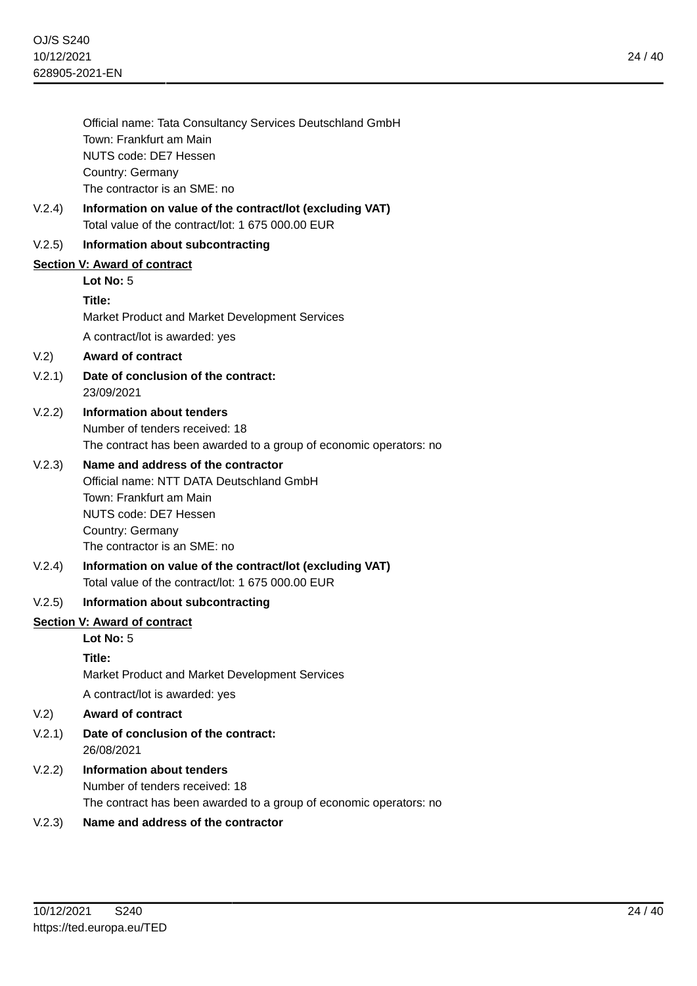24 / 40

| Official name: Tata Consultancy Services Deutschland GmbH                                   |
|---------------------------------------------------------------------------------------------|
| Town: Frankfurt am Main                                                                     |
| NUTS code: DE7 Hessen                                                                       |
| Country: Germany                                                                            |
| The contractor is an SME: no                                                                |
| . In the contract of the contract of the contract of the theories of the contract of the PN |

V.2.4) **Information on value of the contract/lot (excluding VAT)** Total value of the contract/lot: 1 675 000.00 EUR

## V.2.5) **Information about subcontracting**

## **Section V: Award of contract**

**Lot No:** 5

#### **Title:**

Market Product and Market Development Services A contract/lot is awarded: yes

## V.2) **Award of contract**

- V.2.1) **Date of conclusion of the contract:** 23/09/2021
- V.2.2) **Information about tenders** Number of tenders received: 18 The contract has been awarded to a group of economic operators: no

## V.2.3) **Name and address of the contractor**

Official name: NTT DATA Deutschland GmbH Town: Frankfurt am Main NUTS code: DE7 Hessen Country: Germany The contractor is an SME: no

V.2.4) **Information on value of the contract/lot (excluding VAT)** Total value of the contract/lot: 1 675 000.00 EUR

## V.2.5) **Information about subcontracting**

#### **Section V: Award of contract**

# **Lot No:** 5

## **Title:**

Market Product and Market Development Services

A contract/lot is awarded: yes

- V.2) **Award of contract**
- V.2.1) **Date of conclusion of the contract:** 26/08/2021
- V.2.2) **Information about tenders** Number of tenders received: 18 The contract has been awarded to a group of economic operators: no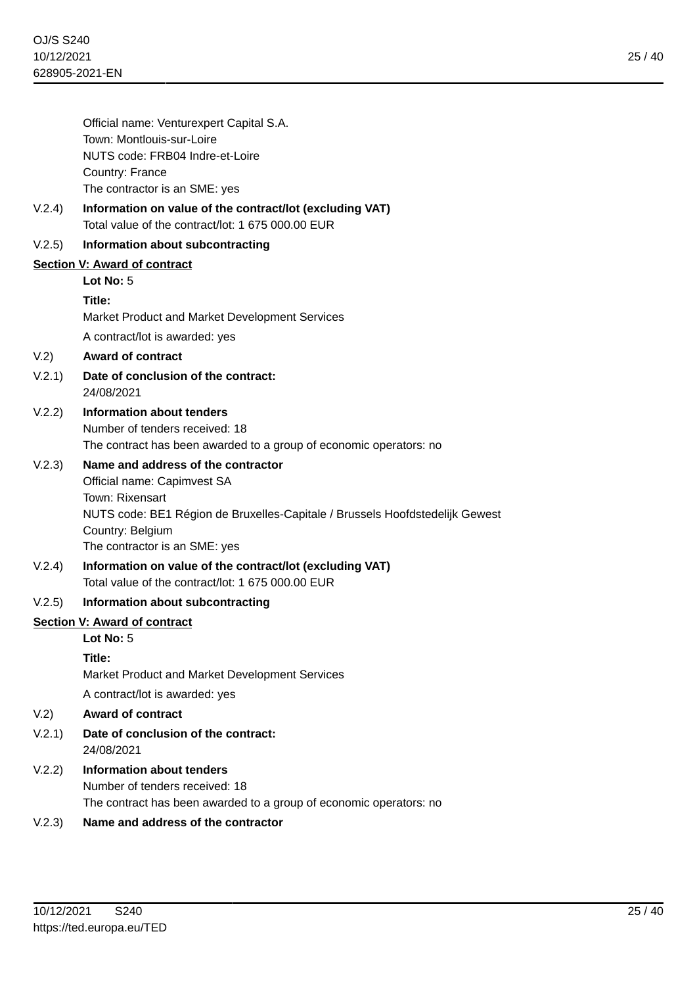|        | Official name: Venturexpert Capital S.A.                                                                      |
|--------|---------------------------------------------------------------------------------------------------------------|
|        | Town: Montlouis-sur-Loire                                                                                     |
|        | NUTS code: FRB04 Indre-et-Loire                                                                               |
|        | Country: France                                                                                               |
|        | The contractor is an SME: yes                                                                                 |
| V.2.4) | Information on value of the contract/lot (excluding VAT)<br>Total value of the contract/lot: 1 675 000.00 EUR |
| V.2.5) | Information about subcontracting                                                                              |
|        | <b>Section V: Award of contract</b>                                                                           |
|        | Lot No: $5$                                                                                                   |
|        | Title:                                                                                                        |
|        | Market Product and Market Development Services                                                                |
|        | A contract/lot is awarded: yes                                                                                |
| V.2)   | <b>Award of contract</b>                                                                                      |
| V.2.1) | Date of conclusion of the contract:<br>24/08/2021                                                             |
| V.2.2) | <b>Information about tenders</b>                                                                              |
|        | Number of tenders received: 18                                                                                |
|        | The contract has been awarded to a group of economic operators: no                                            |
| V.2.3) | Name and address of the contractor                                                                            |
|        | Official name: Capimvest SA                                                                                   |
|        | Town: Rixensart                                                                                               |
|        | NUTS code: BE1 Région de Bruxelles-Capitale / Brussels Hoofdstedelijk Gewest                                  |
|        | Country: Belgium                                                                                              |
|        | The contractor is an SME: yes                                                                                 |
| V.2.4) | Information on value of the contract/lot (excluding VAT)<br>Total value of the contract/lot: 1 675 000,00 EUR |
| V.2.5) | Information about subcontracting                                                                              |
|        | <b>Section V: Award of contract</b>                                                                           |
|        | Lot No: 5                                                                                                     |
|        | Title:                                                                                                        |
|        | Market Product and Market Development Services                                                                |
|        | A contract/lot is awarded: yes                                                                                |
| V.2)   | <b>Award of contract</b>                                                                                      |
| V.2.1) | Date of conclusion of the contract:<br>24/08/2021                                                             |
| V.2.2) | <b>Information about tenders</b>                                                                              |
|        | Number of tenders received: 18                                                                                |
|        | The contract has been awarded to a group of economic operators: no                                            |
|        |                                                                                                               |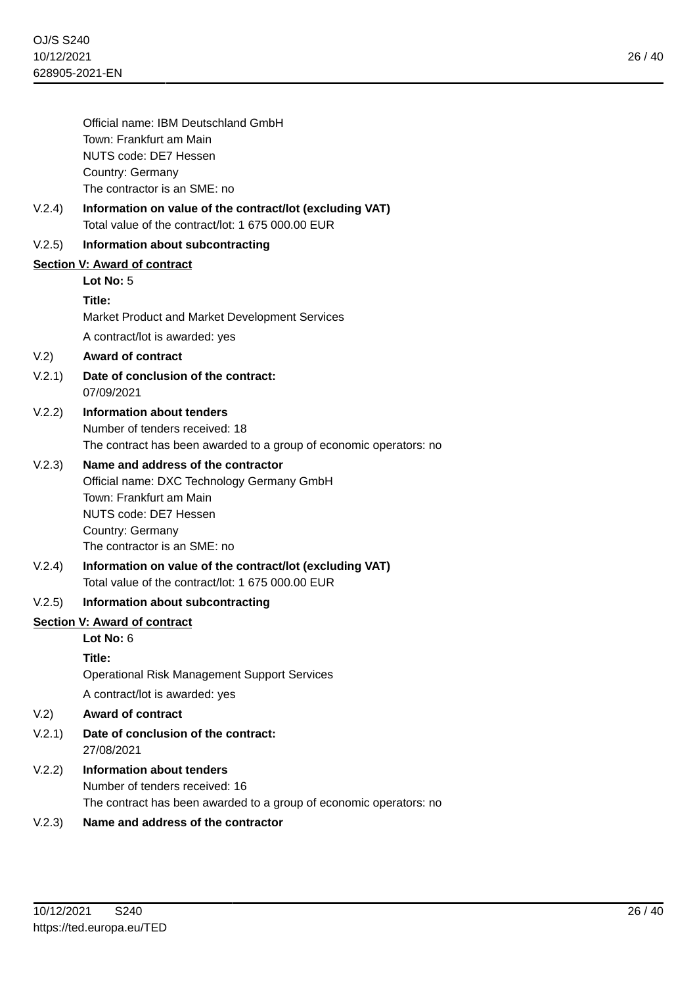|        | Official name: IBM Deutschland GmbH                                                                           |
|--------|---------------------------------------------------------------------------------------------------------------|
|        | Town: Frankfurt am Main                                                                                       |
|        | NUTS code: DE7 Hessen                                                                                         |
|        | Country: Germany                                                                                              |
|        | The contractor is an SME: no                                                                                  |
| V.2.4) | Information on value of the contract/lot (excluding VAT)<br>Total value of the contract/lot: 1 675 000.00 EUR |
| V.2.5) | Information about subcontracting                                                                              |
|        | <b>Section V: Award of contract</b>                                                                           |
|        | Lot No: 5                                                                                                     |
|        | Title:                                                                                                        |
|        | Market Product and Market Development Services                                                                |
|        | A contract/lot is awarded: yes                                                                                |
| V.2)   | <b>Award of contract</b>                                                                                      |
| V.2.1) | Date of conclusion of the contract:<br>07/09/2021                                                             |
| V.2.2) | Information about tenders                                                                                     |
|        | Number of tenders received: 18                                                                                |
|        | The contract has been awarded to a group of economic operators: no                                            |
| V.2.3) | Name and address of the contractor                                                                            |
|        | Official name: DXC Technology Germany GmbH                                                                    |
|        | Town: Frankfurt am Main<br>NUTS code: DE7 Hessen                                                              |
|        | Country: Germany                                                                                              |
|        | The contractor is an SME: no                                                                                  |
| V.2.4) | Information on value of the contract/lot (excluding VAT)                                                      |
|        | Total value of the contract/lot: 1 675 000,00 EUR                                                             |
| V.2.5) | Information about subcontracting                                                                              |
|        | <b>Section V: Award of contract</b>                                                                           |
|        | Lot No: 6                                                                                                     |
|        | Title:                                                                                                        |
|        | <b>Operational Risk Management Support Services</b>                                                           |
|        | A contract/lot is awarded: yes                                                                                |
| V.2)   | <b>Award of contract</b>                                                                                      |
| V.2.1) | Date of conclusion of the contract:<br>27/08/2021                                                             |
| V.2.2) | Information about tenders                                                                                     |
|        | Number of tenders received: 16                                                                                |
|        | The contract has been awarded to a group of economic operators: no                                            |
| いっつ    | Name and address of the contractor                                                                            |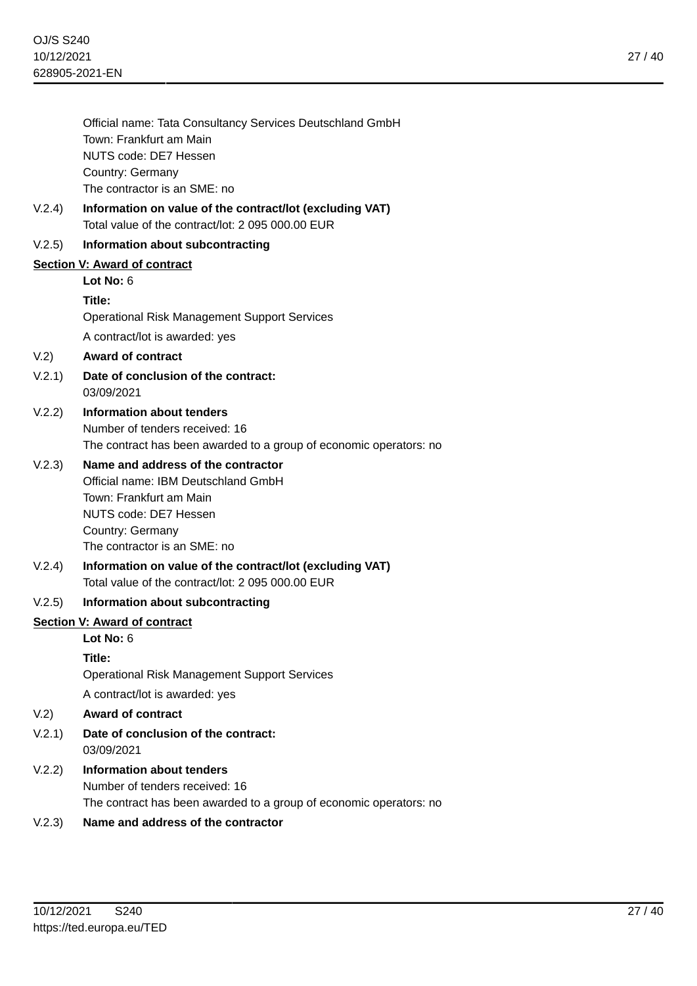27 / 40

| Official name: Tata Consultancy Services Deutschland GmbH |
|-----------------------------------------------------------|
| Town: Frankfurt am Main                                   |
| NUTS code: DE7 Hessen                                     |
| Country: Germany                                          |
| The contractor is an SME: no                              |

V.2.4) **Information on value of the contract/lot (excluding VAT)** Total value of the contract/lot: 2 095 000.00 EUR

## V.2.5) **Information about subcontracting**

## **Section V: Award of contract**

**Lot No:** 6

#### **Title:**

Operational Risk Management Support Services A contract/lot is awarded: yes

## V.2) **Award of contract**

- V.2.1) **Date of conclusion of the contract:** 03/09/2021
- V.2.2) **Information about tenders** Number of tenders received: 16 The contract has been awarded to a group of economic operators: no

## V.2.3) **Name and address of the contractor**

Official name: IBM Deutschland GmbH Town: Frankfurt am Main NUTS code: DE7 Hessen Country: Germany The contractor is an SME: no

V.2.4) **Information on value of the contract/lot (excluding VAT)** Total value of the contract/lot: 2 095 000.00 EUR

#### V.2.5) **Information about subcontracting**

#### **Section V: Award of contract**

# **Lot No:** 6

## **Title:**

Operational Risk Management Support Services

A contract/lot is awarded: yes

- V.2) **Award of contract**
- V.2.1) **Date of conclusion of the contract:** 03/09/2021
- V.2.2) **Information about tenders** Number of tenders received: 16 The contract has been awarded to a group of economic operators: no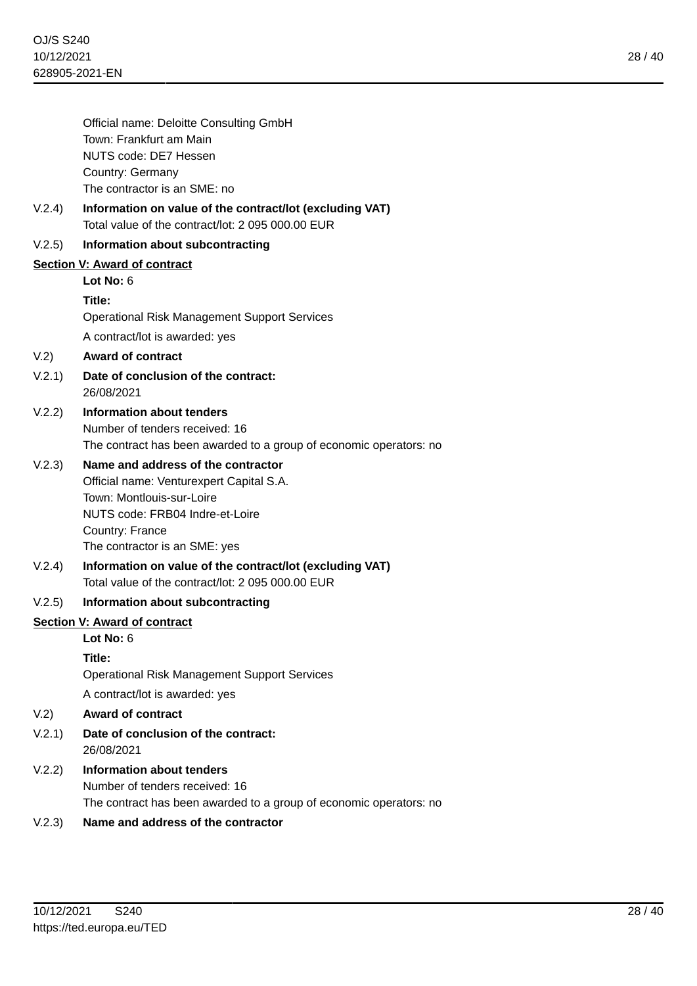|            | Official name: Deloitte Consulting GmbH                               |
|------------|-----------------------------------------------------------------------|
|            | Town: Frankfurt am Main                                               |
|            | <b>NUTS code: DE7 Hessen</b>                                          |
|            | Country: Germany<br>The contractor is an SME: no                      |
| V.2.4)     | Information on value of the contract/lot (excluding VAT)              |
|            | Total value of the contract/lot: 2 095 000.00 EUR                     |
| V.2.5)     | Information about subcontracting                                      |
|            | <b>Section V: Award of contract</b>                                   |
|            | Lot No: $6$                                                           |
|            | Title:<br><b>Operational Risk Management Support Services</b>         |
|            | A contract/lot is awarded: yes                                        |
| V.2)       | <b>Award of contract</b>                                              |
| V.2.1)     | Date of conclusion of the contract:<br>26/08/2021                     |
| V.2.2)     | Information about tenders                                             |
|            | Number of tenders received: 16                                        |
|            | The contract has been awarded to a group of economic operators: no    |
| V.2.3)     | Name and address of the contractor                                    |
|            | Official name: Venturexpert Capital S.A.<br>Town: Montlouis-sur-Loire |
|            | NUTS code: FRB04 Indre-et-Loire                                       |
|            | Country: France                                                       |
|            | The contractor is an SME: yes                                         |
| V.2.4)     | Information on value of the contract/lot (excluding VAT)              |
|            | Total value of the contract/lot: 2 095 000.00 EUR                     |
| V.2.5)     | Information about subcontracting                                      |
|            | <b>Section V: Award of contract</b>                                   |
|            | Lot No: 6                                                             |
|            | Title:<br><b>Operational Risk Management Support Services</b>         |
|            | A contract/lot is awarded: yes                                        |
| V.2)       | <b>Award of contract</b>                                              |
| V.2.1)     | Date of conclusion of the contract:<br>26/08/2021                     |
| V.2.2)     | <b>Information about tenders</b>                                      |
|            | Number of tenders received: 16                                        |
|            | The contract has been awarded to a group of economic operators: no    |
| $\sqrt{2}$ |                                                                       |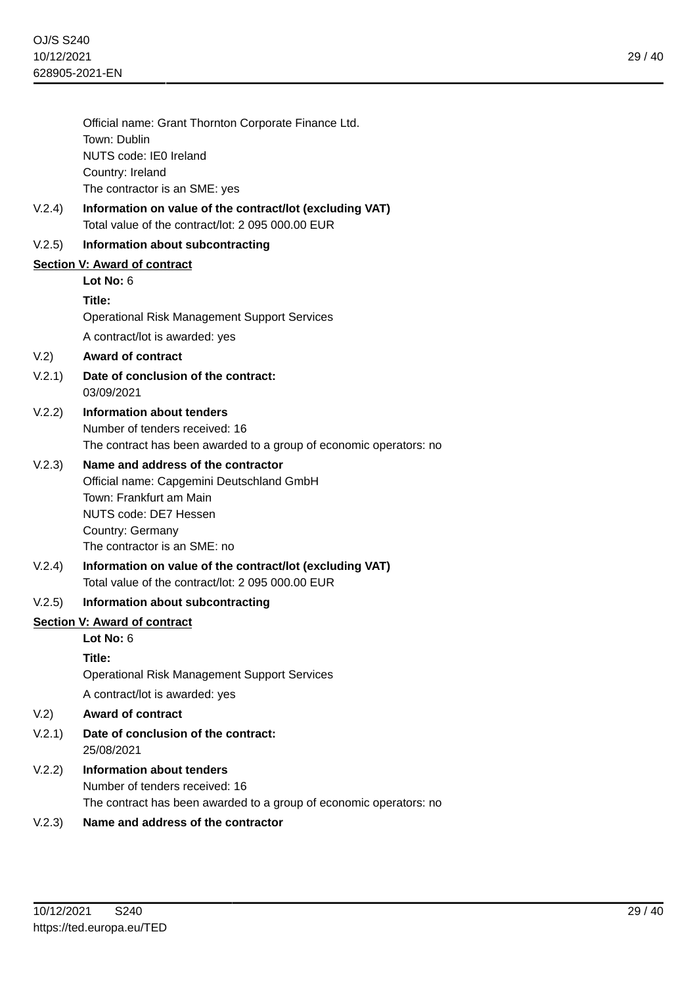|        | Official name: Grant Thornton Corporate Finance Ltd.               |
|--------|--------------------------------------------------------------------|
|        | Town: Dublin                                                       |
|        | NUTS code: IE0 Ireland                                             |
|        | Country: Ireland<br>The contractor is an SME: yes                  |
| V.2.4) | Information on value of the contract/lot (excluding VAT)           |
|        | Total value of the contract/lot: 2 095 000.00 EUR                  |
| V.2.5) | Information about subcontracting                                   |
|        | Section V: Award of contract                                       |
|        | Lot No: $6$                                                        |
|        | Title:                                                             |
|        | <b>Operational Risk Management Support Services</b>                |
|        | A contract/lot is awarded: yes                                     |
| V.2)   | <b>Award of contract</b>                                           |
| V.2.1) | Date of conclusion of the contract:<br>03/09/2021                  |
| V.2.2) | <b>Information about tenders</b>                                   |
|        | Number of tenders received: 16                                     |
|        | The contract has been awarded to a group of economic operators: no |
| V.2.3) | Name and address of the contractor                                 |
|        | Official name: Capgemini Deutschland GmbH                          |
|        | Town: Frankfurt am Main<br>NUTS code: DE7 Hessen                   |
|        | Country: Germany                                                   |
|        | The contractor is an SME: no                                       |
| V.2.4) | Information on value of the contract/lot (excluding VAT)           |
|        | Total value of the contract/lot: 2 095 000.00 EUR                  |
| V(2.5) | Information about subcontracting                                   |
|        | Section V: Award of contract                                       |
|        | Lot No: $6$                                                        |
|        | Title:                                                             |
|        | <b>Operational Risk Management Support Services</b>                |
|        | A contract/lot is awarded: yes                                     |
| V.2)   | <b>Award of contract</b>                                           |
| V.2.1) | Date of conclusion of the contract:<br>25/08/2021                  |
| V.2.2) | <b>Information about tenders</b>                                   |
|        | Number of tenders received: 16                                     |
|        |                                                                    |

The contract has been awarded to a group of economic operators: no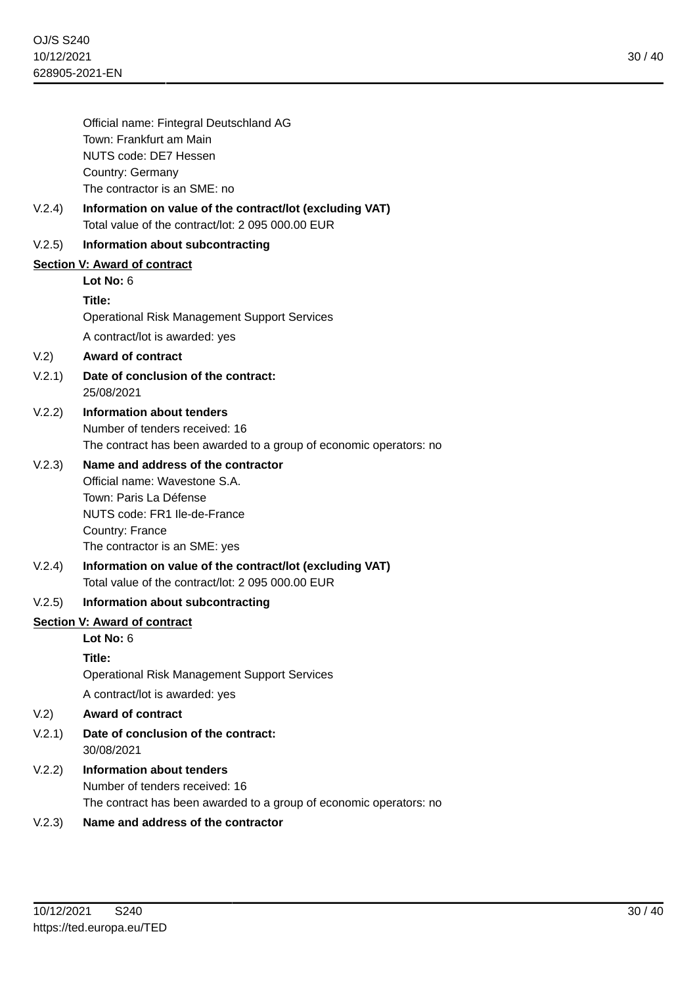|        | Official name: Fintegral Deutschland AG                                                                       |
|--------|---------------------------------------------------------------------------------------------------------------|
|        | Town: Frankfurt am Main                                                                                       |
|        | NUTS code: DE7 Hessen                                                                                         |
|        | Country: Germany                                                                                              |
|        | The contractor is an SME: no                                                                                  |
| V.2.4) | Information on value of the contract/lot (excluding VAT)<br>Total value of the contract/lot: 2 095 000.00 EUR |
| V.2.5) | Information about subcontracting                                                                              |
|        | <b>Section V: Award of contract</b>                                                                           |
|        | Lot No: $6$                                                                                                   |
|        | Title:                                                                                                        |
|        | <b>Operational Risk Management Support Services</b>                                                           |
|        | A contract/lot is awarded: yes                                                                                |
| V.2)   | <b>Award of contract</b>                                                                                      |
| V.2.1) | Date of conclusion of the contract:<br>25/08/2021                                                             |
| V.2.2) | Information about tenders                                                                                     |
|        | Number of tenders received: 16                                                                                |
|        | The contract has been awarded to a group of economic operators: no                                            |
| V.2.3) | Name and address of the contractor                                                                            |
|        | Official name: Wavestone S.A.                                                                                 |
|        | Town: Paris La Défense<br>NUTS code: FR1 Ile-de-France                                                        |
|        | Country: France                                                                                               |
|        | The contractor is an SME: yes                                                                                 |
| V.2.4) | Information on value of the contract/lot (excluding VAT)                                                      |
|        | Total value of the contract/lot: 2 095 000.00 EUR                                                             |
| V.2.5) | Information about subcontracting                                                                              |
|        | <b>Section V: Award of contract</b>                                                                           |
|        | Lot No: 6                                                                                                     |
|        | Title:                                                                                                        |
|        | <b>Operational Risk Management Support Services</b>                                                           |
|        | A contract/lot is awarded: yes                                                                                |
| V.2)   | <b>Award of contract</b>                                                                                      |
| V.2.1) | Date of conclusion of the contract:<br>30/08/2021                                                             |
| V.2.2) | <b>Information about tenders</b>                                                                              |
|        | Number of tenders received: 16                                                                                |
|        | The contract has been awarded to a group of economic operators: no                                            |
| ハコふ    | Name and address of the contractor                                                                            |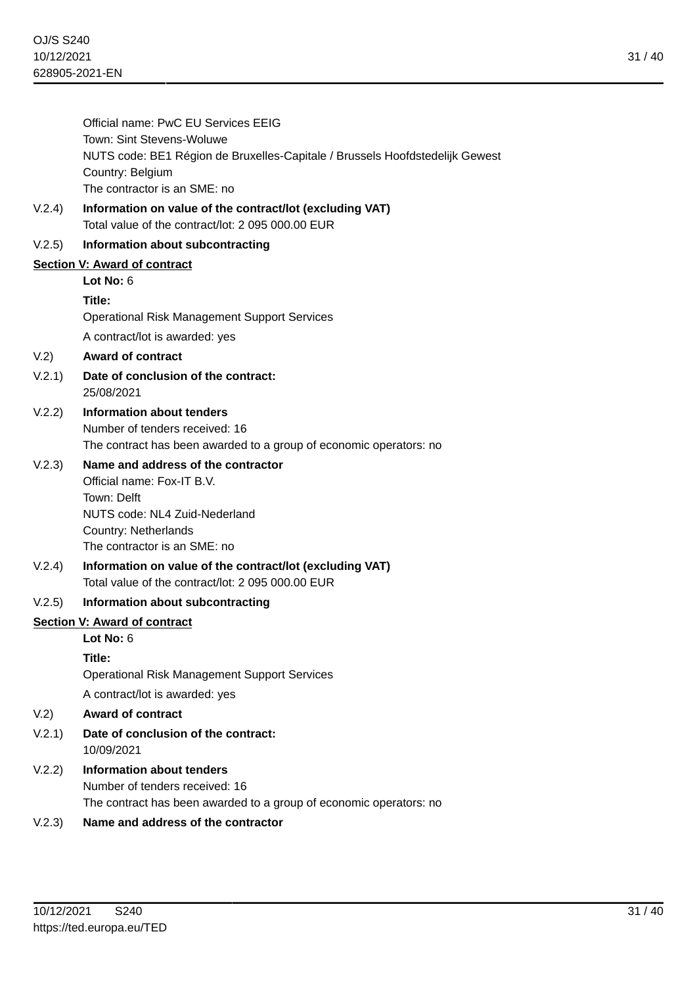| Official name: PwC EU Services EEIG                                          |
|------------------------------------------------------------------------------|
| Town: Sint Stevens-Woluwe                                                    |
| NUTS code: BE1 Région de Bruxelles-Capitale / Brussels Hoofdstedelijk Gewest |
| Country: Belgium                                                             |
| The contractor is an SME: no                                                 |
|                                                                              |

V.2.4) **Information on value of the contract/lot (excluding VAT)** Total value of the contract/lot: 2 095 000.00 EUR

## V.2.5) **Information about subcontracting**

## **Section V: Award of contract**

**Lot No:** 6

#### **Title:**

Operational Risk Management Support Services A contract/lot is awarded: yes

## V.2) **Award of contract**

- V.2.1) **Date of conclusion of the contract:** 25/08/2021
- V.2.2) **Information about tenders** Number of tenders received: 16 The contract has been awarded to a group of economic operators: no

# V.2.3) **Name and address of the contractor**

Official name: Fox-IT B.V. Town: Delft NUTS code: NL4 Zuid-Nederland Country: Netherlands The contractor is an SME: no

V.2.4) **Information on value of the contract/lot (excluding VAT)** Total value of the contract/lot: 2 095 000.00 EUR

#### V.2.5) **Information about subcontracting**

#### **Section V: Award of contract**

# **Lot No:** 6

## **Title:**

Operational Risk Management Support Services

A contract/lot is awarded: yes

- V.2) **Award of contract**
- V.2.1) **Date of conclusion of the contract:** 10/09/2021
- V.2.2) **Information about tenders** Number of tenders received: 16 The contract has been awarded to a group of economic operators: no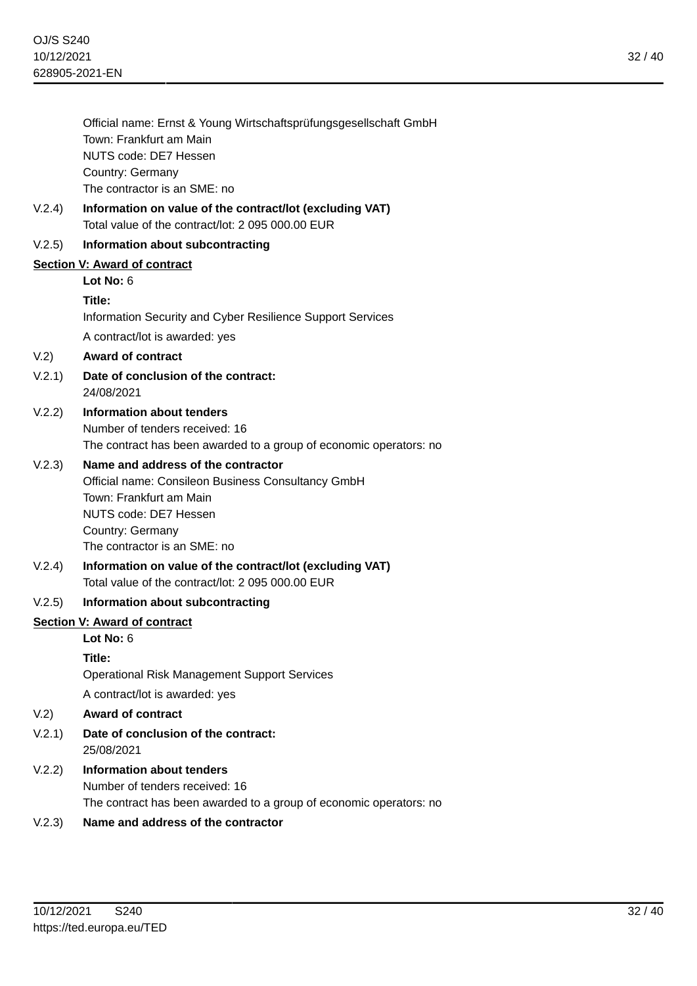| Official name: Ernst & Young Wirtschaftsprüfungsgesellschaft GmbH |
|-------------------------------------------------------------------|
| Town: Frankfurt am Main                                           |
| NUTS code: DE7 Hessen                                             |
| Country: Germany                                                  |
| The contractor is an SME: no                                      |

V.2.4) **Information on value of the contract/lot (excluding VAT)** Total value of the contract/lot: 2 095 000.00 EUR

#### V.2.5) **Information about subcontracting**

#### **Section V: Award of contract**

**Lot No:** 6

#### **Title:**

Information Security and Cyber Resilience Support Services A contract/lot is awarded: yes

#### V.2) **Award of contract**

- V.2.1) **Date of conclusion of the contract:** 24/08/2021
- V.2.2) **Information about tenders** Number of tenders received: 16 The contract has been awarded to a group of economic operators: no

## V.2.3) **Name and address of the contractor**

Official name: Consileon Business Consultancy GmbH Town: Frankfurt am Main NUTS code: DE7 Hessen Country: Germany The contractor is an SME: no

V.2.4) **Information on value of the contract/lot (excluding VAT)** Total value of the contract/lot: 2 095 000.00 EUR

#### V.2.5) **Information about subcontracting**

#### **Section V: Award of contract**

# **Lot No:** 6

## **Title:**

Operational Risk Management Support Services

A contract/lot is awarded: yes

- V.2) **Award of contract**
- V.2.1) **Date of conclusion of the contract:** 25/08/2021
- V.2.2) **Information about tenders** Number of tenders received: 16 The contract has been awarded to a group of economic operators: no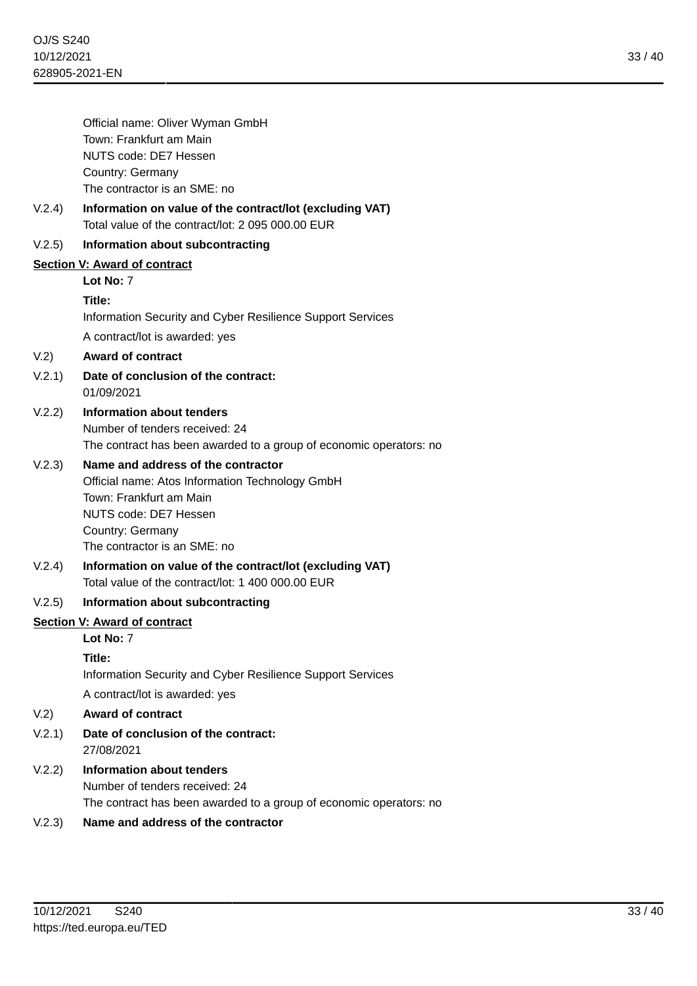|                                     | Official name: Oliver Wyman GmbH                                                                              |
|-------------------------------------|---------------------------------------------------------------------------------------------------------------|
|                                     | Town: Frankfurt am Main                                                                                       |
|                                     | NUTS code: DE7 Hessen                                                                                         |
|                                     | Country: Germany                                                                                              |
|                                     | The contractor is an SME: no                                                                                  |
| V.2.4)                              | Information on value of the contract/lot (excluding VAT)<br>Total value of the contract/lot: 2 095 000.00 EUR |
| V.2.5)                              | Information about subcontracting                                                                              |
|                                     | <b>Section V: Award of contract</b>                                                                           |
|                                     | Lot No: 7                                                                                                     |
|                                     | Title:                                                                                                        |
|                                     | Information Security and Cyber Resilience Support Services                                                    |
|                                     | A contract/lot is awarded: yes                                                                                |
| V.2)                                | <b>Award of contract</b>                                                                                      |
| V.2.1)                              | Date of conclusion of the contract:<br>01/09/2021                                                             |
| V.2.2)                              | Information about tenders                                                                                     |
|                                     | Number of tenders received: 24                                                                                |
|                                     | The contract has been awarded to a group of economic operators: no                                            |
| V.2.3)                              | Name and address of the contractor                                                                            |
|                                     | Official name: Atos Information Technology GmbH                                                               |
|                                     | Town: Frankfurt am Main                                                                                       |
|                                     | NUTS code: DE7 Hessen<br>Country: Germany                                                                     |
|                                     | The contractor is an SME: no                                                                                  |
| V.2.4)                              | Information on value of the contract/lot (excluding VAT)                                                      |
|                                     | Total value of the contract/lot: 1 400 000,00 EUR                                                             |
| V.2.5)                              | Information about subcontracting                                                                              |
| <b>Section V: Award of contract</b> |                                                                                                               |
|                                     | Lot No: 7                                                                                                     |
|                                     | Title:                                                                                                        |
|                                     | Information Security and Cyber Resilience Support Services                                                    |
|                                     | A contract/lot is awarded: yes                                                                                |
| V.2)                                | <b>Award of contract</b>                                                                                      |
| V.2.1)                              | Date of conclusion of the contract:<br>27/08/2021                                                             |
| V.2.2)                              | <b>Information about tenders</b>                                                                              |
|                                     | Number of tenders received: 24                                                                                |
|                                     | The contract has been awarded to a group of economic operators: no                                            |
|                                     |                                                                                                               |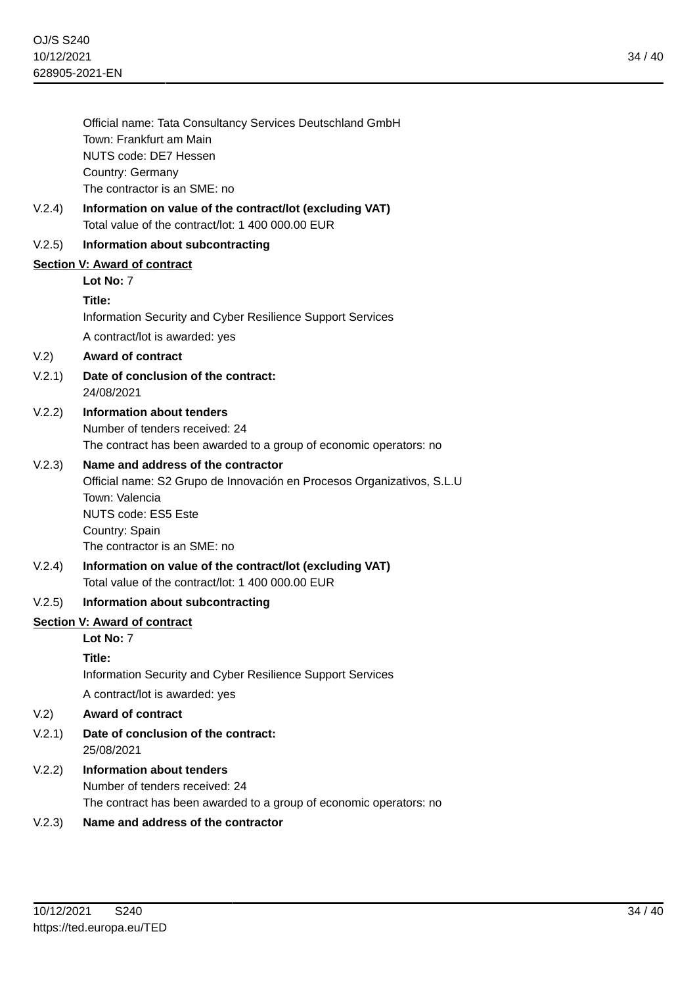34 / 40

| Official name: Tata Consultancy Services Deutschland GmbH |
|-----------------------------------------------------------|
| Town: Frankfurt am Main                                   |
| NUTS code: DE7 Hessen                                     |
| Country: Germany                                          |
| The contractor is an SME: no                              |

V.2.4) **Information on value of the contract/lot (excluding VAT)** Total value of the contract/lot: 1 400 000.00 EUR

## V.2.5) **Information about subcontracting**

## **Section V: Award of contract**

**Lot No:** 7

#### **Title:**

Information Security and Cyber Resilience Support Services A contract/lot is awarded: yes

#### V.2) **Award of contract**

V.2.1) **Date of conclusion of the contract:** 24/08/2021

## V.2.2) **Information about tenders** Number of tenders received: 24

The contract has been awarded to a group of economic operators: no

## V.2.3) **Name and address of the contractor**

Official name: S2 Grupo de Innovación en Procesos Organizativos, S.L.U Town: Valencia NUTS code: ES5 Este Country: Spain The contractor is an SME: no

V.2.4) **Information on value of the contract/lot (excluding VAT)** Total value of the contract/lot: 1 400 000.00 EUR

## V.2.5) **Information about subcontracting**

#### **Section V: Award of contract**

# **Lot No:** 7

## **Title:**

Information Security and Cyber Resilience Support Services

A contract/lot is awarded: yes

#### V.2) **Award of contract**

- V.2.1) **Date of conclusion of the contract:** 25/08/2021
- V.2.2) **Information about tenders** Number of tenders received: 24 The contract has been awarded to a group of economic operators: no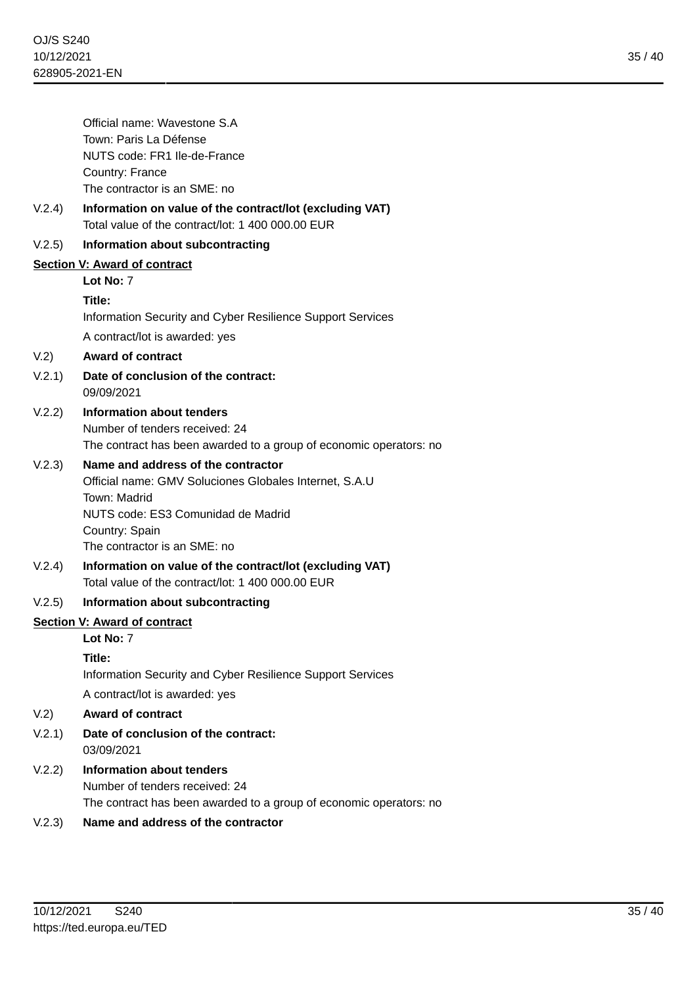35 / 40

|        | Official name: Wavestone S.A                                                                                  |
|--------|---------------------------------------------------------------------------------------------------------------|
|        | Town: Paris La Défense                                                                                        |
|        | NUTS code: FR1 Ile-de-France                                                                                  |
|        | Country: France<br>The contractor is an SME: no                                                               |
| V.2.4) | Information on value of the contract/lot (excluding VAT)<br>Total value of the contract/lot: 1 400 000.00 EUR |
| V.2.5) | Information about subcontracting                                                                              |
|        | Section V: Award of contract                                                                                  |
|        | Lot No: 7                                                                                                     |
|        | Title:                                                                                                        |
|        | Information Security and Cyber Resilience Support Services                                                    |
|        | A contract/lot is awarded: yes                                                                                |
| V.2)   | <b>Award of contract</b>                                                                                      |
| V.2.1) | Date of conclusion of the contract:<br>09/09/2021                                                             |
| V.2.2) | Information about tenders                                                                                     |
|        | Number of tenders received: 24                                                                                |
|        | The contract has been awarded to a group of economic operators: no                                            |
| V.2.3) | Name and address of the contractor                                                                            |
|        | Official name: GMV Soluciones Globales Internet, S.A.U                                                        |
|        | Town: Madrid<br>NUTS code: ES3 Comunidad de Madrid                                                            |
|        | Country: Spain                                                                                                |
|        | The contractor is an SME: no                                                                                  |
| V.2.4) | Information on value of the contract/lot (excluding VAT)                                                      |
|        | Total value of the contract/lot: 1 400 000,00 EUR                                                             |
| V.2.5) | Information about subcontracting                                                                              |
|        | Section V: Award of contract                                                                                  |
|        | Lot No: 7                                                                                                     |
|        | Title:                                                                                                        |
|        | Information Security and Cyber Resilience Support Services                                                    |
|        | A contract/lot is awarded: yes                                                                                |
| V.2)   | <b>Award of contract</b>                                                                                      |
| V.2.1) | Date of conclusion of the contract:<br>03/09/2021                                                             |
| V.2.2) | Information about tenders                                                                                     |
|        | Number of tenders received: 24                                                                                |
|        | The contract has been awarded to a group of economic operators: no                                            |
| V.2.3) | Name and address of the contractor                                                                            |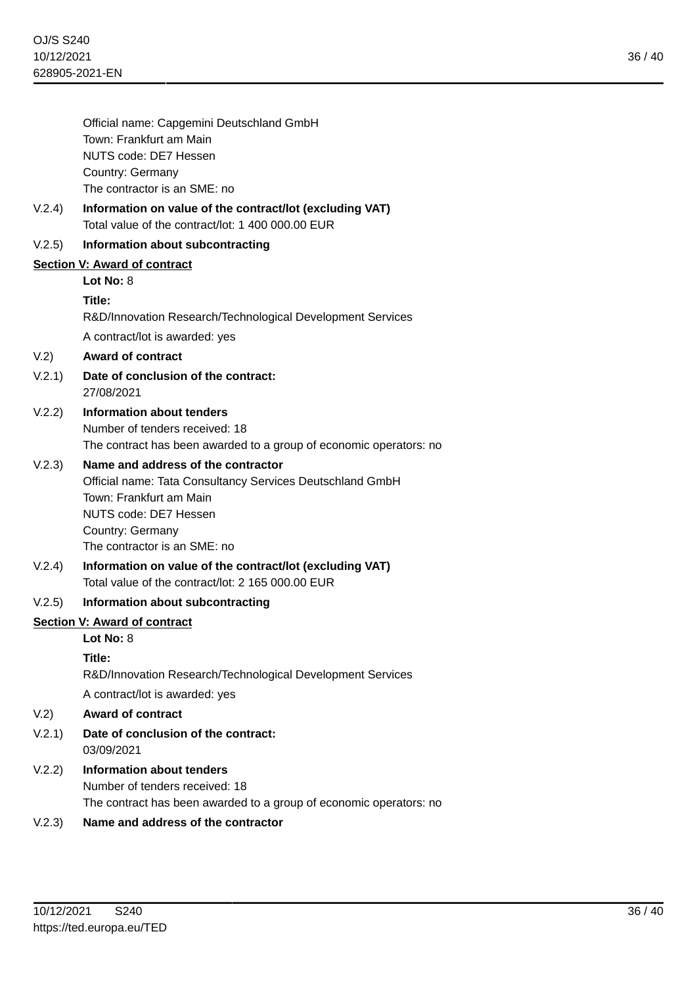|        | Official name: Capgemini Deutschland GmbH                          |
|--------|--------------------------------------------------------------------|
|        | Town: Frankfurt am Main                                            |
|        | NUTS code: DE7 Hessen                                              |
|        | Country: Germany<br>The contractor is an SME: no                   |
| V.2.4) | Information on value of the contract/lot (excluding VAT)           |
|        | Total value of the contract/lot: 1 400 000.00 EUR                  |
| V.2.5) | Information about subcontracting                                   |
|        | Section V: Award of contract                                       |
|        | Lot No: $8$                                                        |
|        | Title:                                                             |
|        | R&D/Innovation Research/Technological Development Services         |
|        | A contract/lot is awarded: yes                                     |
| V.2)   | <b>Award of contract</b>                                           |
| V.2.1) | Date of conclusion of the contract:<br>27/08/2021                  |
| V.2.2) | Information about tenders                                          |
|        | Number of tenders received: 18                                     |
|        | The contract has been awarded to a group of economic operators: no |
| V.2.3) | Name and address of the contractor                                 |
|        | Official name: Tata Consultancy Services Deutschland GmbH          |
|        | Town: Frankfurt am Main<br>NUTS code: DE7 Hessen                   |
|        | Country: Germany                                                   |
|        | The contractor is an SME: no                                       |
| V.2.4) | Information on value of the contract/lot (excluding VAT)           |
|        | Total value of the contract/lot: 2 165 000.00 EUR                  |
| V.2.5) | Information about subcontracting                                   |
|        | Section V: Award of contract                                       |
|        | Lot No: 8                                                          |
|        | Title:                                                             |
|        | R&D/Innovation Research/Technological Development Services         |
|        | A contract/lot is awarded: yes                                     |
| V.2)   | <b>Award of contract</b>                                           |
| V.2.1) | Date of conclusion of the contract:<br>03/09/2021                  |
| V.2.2) | Information about tenders                                          |
|        | Number of tenders received: 18                                     |
|        | The contract has been awarded to a group of economic operators: no |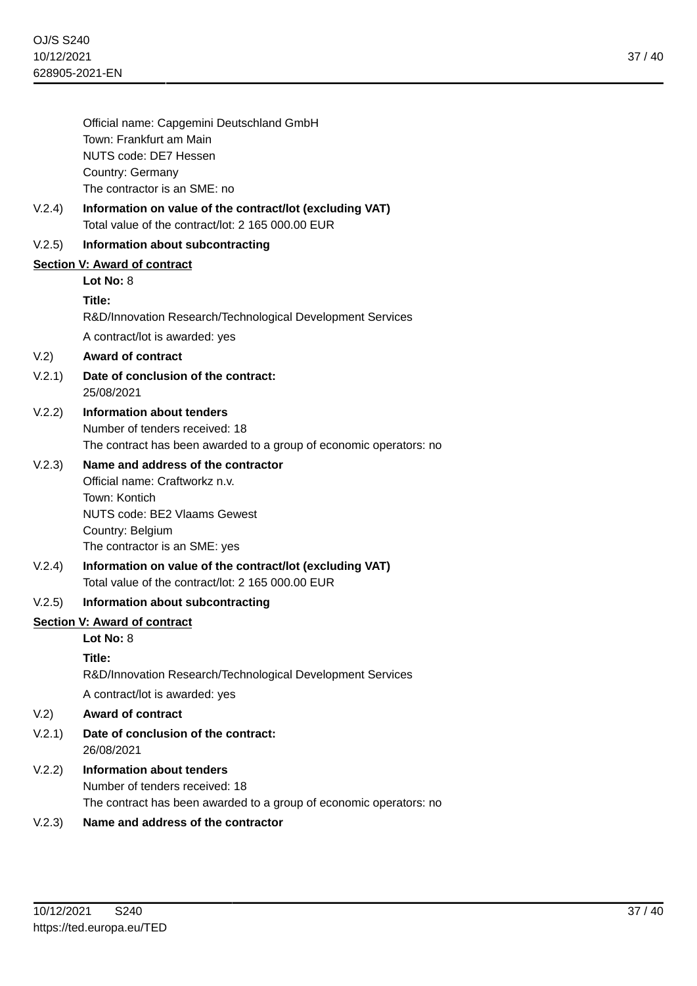|        | Official name: Capgemini Deutschland GmbH                                                                     |
|--------|---------------------------------------------------------------------------------------------------------------|
|        | Town: Frankfurt am Main                                                                                       |
|        | NUTS code: DE7 Hessen                                                                                         |
|        | Country: Germany<br>The contractor is an SME: no                                                              |
|        |                                                                                                               |
| V.2.4) | Information on value of the contract/lot (excluding VAT)<br>Total value of the contract/lot: 2 165 000.00 EUR |
| V.2.5) | Information about subcontracting                                                                              |
|        | <b>Section V: Award of contract</b>                                                                           |
|        | Lot No: $8$                                                                                                   |
|        | Title:                                                                                                        |
|        | R&D/Innovation Research/Technological Development Services                                                    |
|        | A contract/lot is awarded: yes                                                                                |
| V.2)   | <b>Award of contract</b>                                                                                      |
| V.2.1) | Date of conclusion of the contract:<br>25/08/2021                                                             |
| V.2.2) | <b>Information about tenders</b>                                                                              |
|        | Number of tenders received: 18                                                                                |
|        | The contract has been awarded to a group of economic operators: no                                            |
| V.2.3) | Name and address of the contractor                                                                            |
|        | Official name: Craftworkz n.v.                                                                                |
|        | Town: Kontich                                                                                                 |
|        | <b>NUTS code: BE2 Vlaams Gewest</b><br>Country: Belgium                                                       |
|        | The contractor is an SME: yes                                                                                 |
| V.2.4) | Information on value of the contract/lot (excluding VAT)                                                      |
|        | Total value of the contract/lot: 2 165 000.00 EUR                                                             |
| V.2.5) | Information about subcontracting                                                                              |
|        | Section V: Award of contract                                                                                  |
|        | Lot No: 8                                                                                                     |
|        | Title:                                                                                                        |
|        | R&D/Innovation Research/Technological Development Services                                                    |
|        | A contract/lot is awarded: yes                                                                                |
| V.2)   | <b>Award of contract</b>                                                                                      |
| V.2.1) | Date of conclusion of the contract:<br>26/08/2021                                                             |
| V.2.2) | <b>Information about tenders</b>                                                                              |
|        | Number of tenders received: 18                                                                                |
|        | The contract has been awarded to a group of economic operators: no                                            |
| V.2.3) | Name and address of the contractor                                                                            |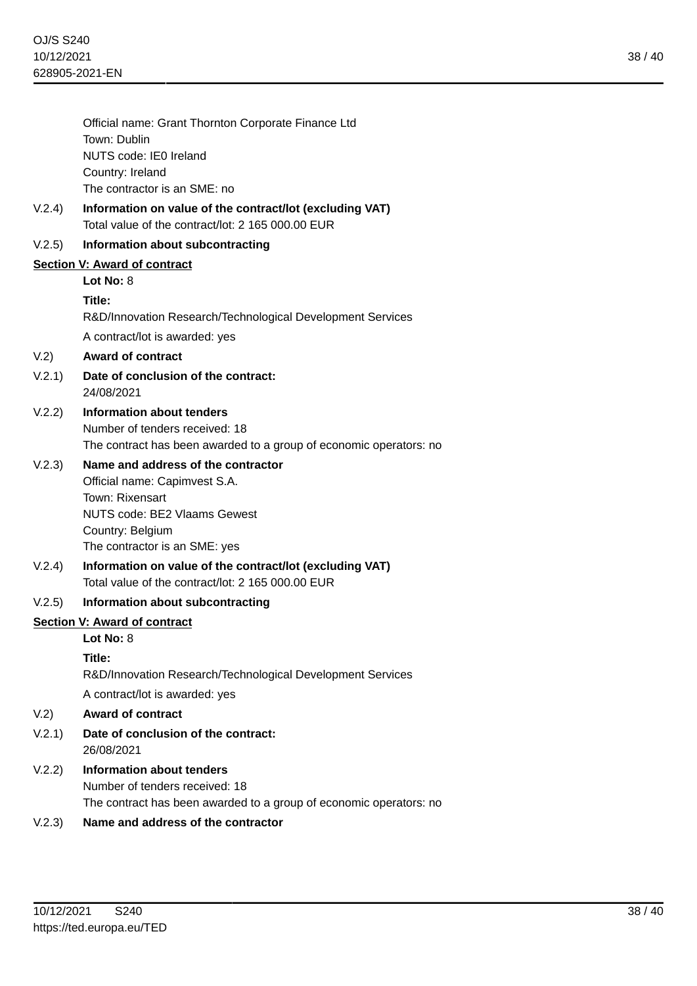|                              | Official name: Grant Thornton Corporate Finance Ltd<br>Town: Dublin                                           |
|------------------------------|---------------------------------------------------------------------------------------------------------------|
|                              | NUTS code: IE0 Ireland                                                                                        |
|                              | Country: Ireland                                                                                              |
|                              | The contractor is an SME: no                                                                                  |
| V.2.4)                       | Information on value of the contract/lot (excluding VAT)<br>Total value of the contract/lot: 2 165 000.00 EUR |
| V.2.5)                       | Information about subcontracting                                                                              |
| Section V: Award of contract |                                                                                                               |
|                              | Lot No: 8                                                                                                     |
|                              | Title:                                                                                                        |
|                              | R&D/Innovation Research/Technological Development Services                                                    |
|                              | A contract/lot is awarded: yes                                                                                |
| V.2)                         | <b>Award of contract</b>                                                                                      |
| V.2.1)                       | Date of conclusion of the contract:<br>24/08/2021                                                             |
| V.2.2)                       | Information about tenders                                                                                     |
|                              | Number of tenders received: 18                                                                                |
|                              | The contract has been awarded to a group of economic operators: no                                            |
| V.2.3)                       | Name and address of the contractor                                                                            |
|                              | Official name: Capimvest S.A.                                                                                 |
|                              | Town: Rixensart<br><b>NUTS code: BE2 Vlaams Gewest</b>                                                        |
|                              | Country: Belgium                                                                                              |
|                              | The contractor is an SME: yes                                                                                 |
| V.2.4)                       | Information on value of the contract/lot (excluding VAT)<br>Total value of the contract/lot: 2 165 000.00 EUR |
| V.2.5)                       | Information about subcontracting                                                                              |
| Section V: Award of contract |                                                                                                               |
|                              | Lot No: 8                                                                                                     |
|                              | Title:                                                                                                        |
|                              | R&D/Innovation Research/Technological Development Services                                                    |
|                              | A contract/lot is awarded: yes                                                                                |
| V.2)                         | <b>Award of contract</b>                                                                                      |
| V.2.1)                       | Date of conclusion of the contract:<br>26/08/2021                                                             |
| V.2.2)                       | Information about tenders                                                                                     |
|                              | Number of tenders received: 18                                                                                |
|                              | The contract has been awarded to a group of economic operators: no                                            |
| V.2.3)                       | Name and address of the contractor                                                                            |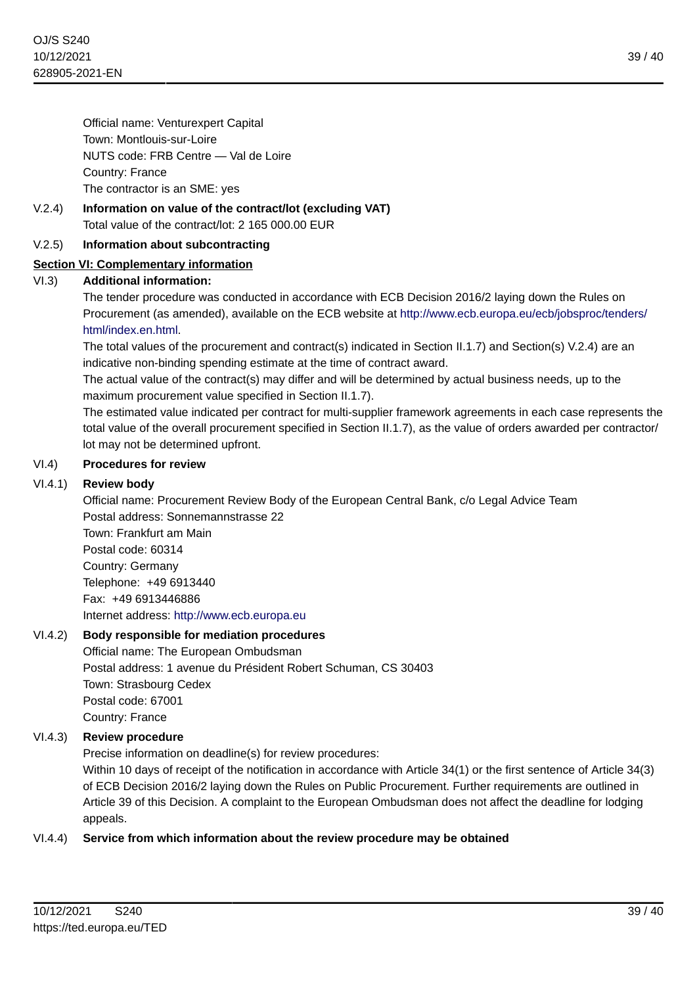Official name: Venturexpert Capital Town: Montlouis-sur-Loire NUTS code: FRB Centre — Val de Loire Country: France The contractor is an SME: yes

V.2.4) **Information on value of the contract/lot (excluding VAT)** Total value of the contract/lot: 2 165 000.00 EUR

## V.2.5) **Information about subcontracting**

## **Section VI: Complementary information**

## VI.3) **Additional information:**

The tender procedure was conducted in accordance with ECB Decision 2016/2 laying down the Rules on Procurement (as amended), available on the ECB website at [http://www.ecb.europa.eu/ecb/jobsproc/tenders/](http://www.ecb.europa.eu/ecb/jobsproc/tenders/html/index.en.html) [html/index.en.html.](http://www.ecb.europa.eu/ecb/jobsproc/tenders/html/index.en.html)

The total values of the procurement and contract(s) indicated in Section II.1.7) and Section(s) V.2.4) are an indicative non-binding spending estimate at the time of contract award.

The actual value of the contract(s) may differ and will be determined by actual business needs, up to the maximum procurement value specified in Section II.1.7).

The estimated value indicated per contract for multi-supplier framework agreements in each case represents the total value of the overall procurement specified in Section II.1.7), as the value of orders awarded per contractor/ lot may not be determined upfront.

#### VI.4) **Procedures for review**

#### VI.4.1) **Review body**

Official name: Procurement Review Body of the European Central Bank, c/o Legal Advice Team Postal address: Sonnemannstrasse 22 Town: Frankfurt am Main Postal code: 60314 Country: Germany Telephone: +49 6913440 Fax: +49 6913446886 Internet address: <http://www.ecb.europa.eu>

#### VI.4.2) **Body responsible for mediation procedures**

Official name: The European Ombudsman Postal address: 1 avenue du Président Robert Schuman, CS 30403 Town: Strasbourg Cedex Postal code: 67001 Country: France

#### VI.4.3) **Review procedure**

Precise information on deadline(s) for review procedures:

Within 10 days of receipt of the notification in accordance with Article 34(1) or the first sentence of Article 34(3) of ECB Decision 2016/2 laying down the Rules on Public Procurement. Further requirements are outlined in Article 39 of this Decision. A complaint to the European Ombudsman does not affect the deadline for lodging appeals.

#### VI.4.4) **Service from which information about the review procedure may be obtained**